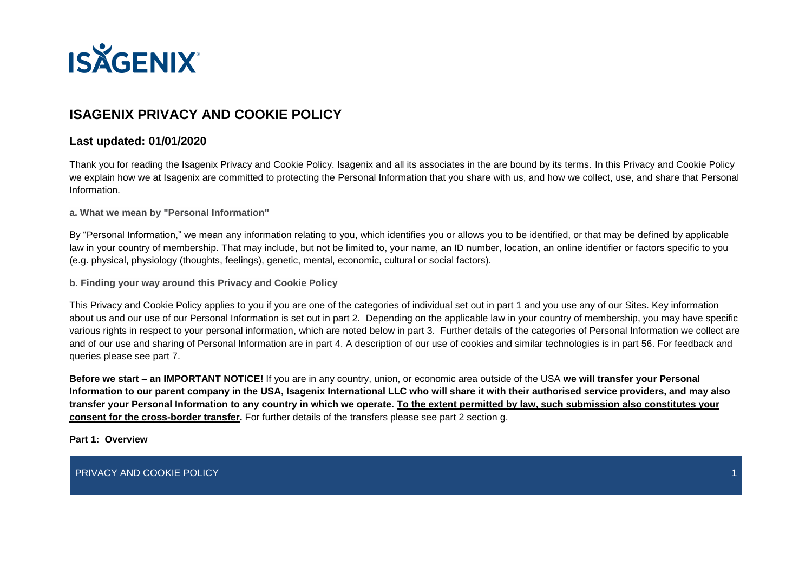

# **ISAGENIX PRIVACY AND COOKIE POLICY**

## **Last updated: 01/01/2020**

Thank you for reading the Isagenix Privacy and Cookie Policy. Isagenix and all its associates in the are bound by its terms. In this Privacy and Cookie Policy we explain how we at Isagenix are committed to protecting the Personal Information that you share with us, and how we collect, use, and share that Personal Information.

**a. What we mean by "Personal Information"**

By "Personal Information," we mean any information relating to you, which identifies you or allows you to be identified, or that may be defined by applicable law in your country of membership. That may include, but not be limited to, your name, an ID number, location, an online identifier or factors specific to you (e.g. physical, physiology (thoughts, feelings), genetic, mental, economic, cultural or social factors).

**b. Finding your way around this Privacy and Cookie Policy**

This Privacy and Cookie Policy applies to you if you are one of the categories of individual set out in part 1 and you use any of our Sites. Key information about us and our use of our Personal Information is set out in part 2. Depending on the applicable law in your country of membership, you may have specific various rights in respect to your personal information, which are noted below in part 3. Further details of the categories of Personal Information we collect are and of our use and sharing of Personal Information are in part 4. A description of our use of cookies and similar technologies is in part 56. For feedback and queries please see part 7.

**Before we start – an IMPORTANT NOTICE!** If you are in any country, union, or economic area outside of the USA **we will transfer your Personal Information to our parent company in the USA, Isagenix International LLC who will share it with their authorised service providers, and may also transfer your Personal Information to any country in which we operate. To the extent permitted by law, such submission also constitutes your consent for the cross-border transfer.** For further details of the transfers please see part 2 section g.

**Part 1: Overview**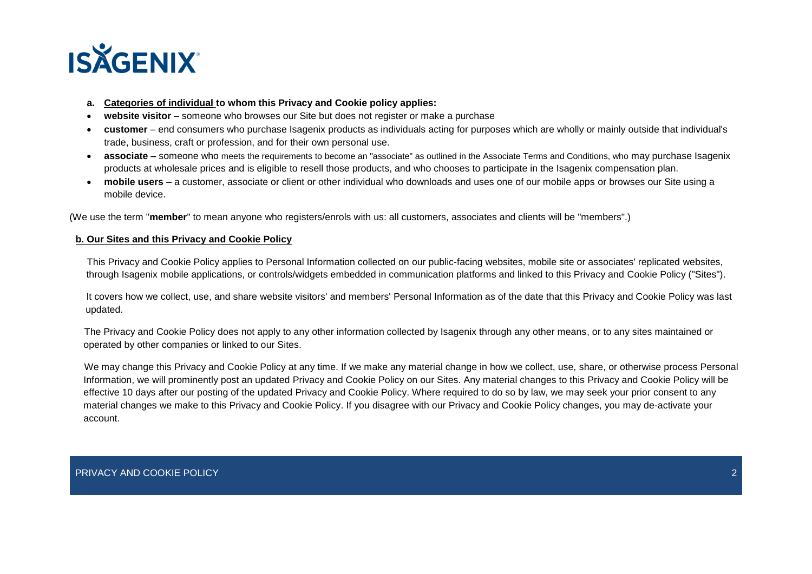

- **a. Categories of individual to whom this Privacy and Cookie policy applies:**
- **website visitor**  someone who browses our Site but does not register or make a purchase
- **customer**  end consumers who purchase Isagenix products as individuals acting for purposes which are wholly or mainly outside that individual's trade, business, craft or profession, and for their own personal use.
- **associate** someone who meets the requirements to become an "associate" as outlined in the Associate Terms and Conditions, who may purchase Isagenix products at wholesale prices and is eligible to resell those products, and who chooses to participate in the Isagenix compensation plan.
- **mobile users**  a customer, associate or client or other individual who downloads and uses one of our mobile apps or browses our Site using a mobile device.

(We use the term "**member**" to mean anyone who registers/enrols with us: all customers, associates and clients will be "members".)

### **b. Our Sites and this Privacy and Cookie Policy**

This Privacy and Cookie Policy applies to Personal Information collected on our public-facing websites, mobile site or associates' replicated websites, through Isagenix mobile applications, or controls/widgets embedded in communication platforms and linked to this Privacy and Cookie Policy ("Sites").

It covers how we collect, use, and share website visitors' and members' Personal Information as of the date that this Privacy and Cookie Policy was last updated.

The Privacy and Cookie Policy does not apply to any other information collected by Isagenix through any other means, or to any sites maintained or operated by other companies or linked to our Sites.

We may change this Privacy and Cookie Policy at any time. If we make any material change in how we collect, use, share, or otherwise process Personal Information, we will prominently post an updated Privacy and Cookie Policy on our Sites. Any material changes to this Privacy and Cookie Policy will be effective 10 days after our posting of the updated Privacy and Cookie Policy. Where required to do so by law, we may seek your prior consent to any material changes we make to this Privacy and Cookie Policy. If you disagree with our Privacy and Cookie Policy changes, you may de-activate your account.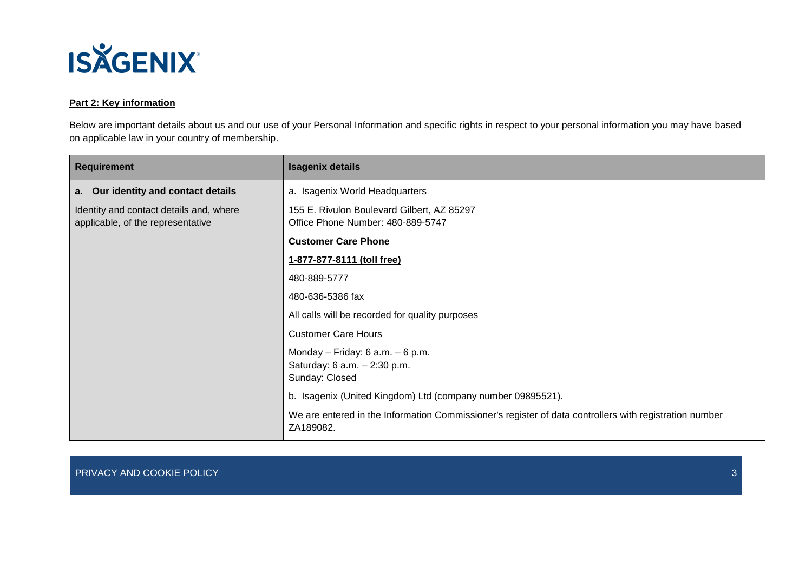

## **Part 2: Key information**

Below are important details about us and our use of your Personal Information and specific rights in respect to your personal information you may have based on applicable law in your country of membership.

| <b>Requirement</b>                                                           | <b>Isagenix details</b>                                                                                             |
|------------------------------------------------------------------------------|---------------------------------------------------------------------------------------------------------------------|
| a. Our identity and contact details                                          | a. Isagenix World Headquarters                                                                                      |
| Identity and contact details and, where<br>applicable, of the representative | 155 E. Rivulon Boulevard Gilbert, AZ 85297<br>Office Phone Number: 480-889-5747                                     |
|                                                                              | <b>Customer Care Phone</b>                                                                                          |
|                                                                              | 1-877-877-8111 (toll free)                                                                                          |
|                                                                              | 480-889-5777                                                                                                        |
|                                                                              | 480-636-5386 fax                                                                                                    |
|                                                                              | All calls will be recorded for quality purposes                                                                     |
|                                                                              | <b>Customer Care Hours</b>                                                                                          |
|                                                                              | Monday - Friday: $6$ a.m. $-6$ p.m.<br>Saturday: 6 a.m. - 2:30 p.m.<br>Sunday: Closed                               |
|                                                                              | b. Isagenix (United Kingdom) Ltd (company number 09895521).                                                         |
|                                                                              | We are entered in the Information Commissioner's register of data controllers with registration number<br>ZA189082. |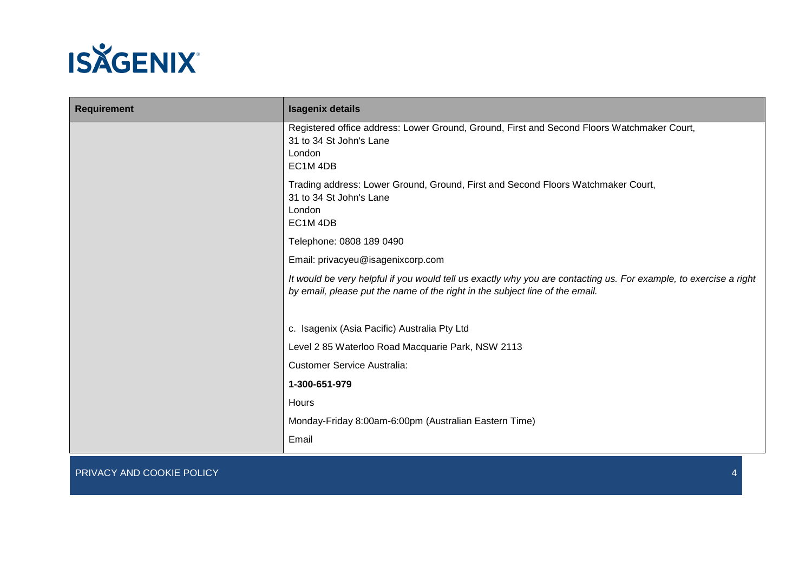

| <b>Requirement</b> | <b>Isagenix details</b>                                                                                                                                                                           |
|--------------------|---------------------------------------------------------------------------------------------------------------------------------------------------------------------------------------------------|
|                    | Registered office address: Lower Ground, Ground, First and Second Floors Watchmaker Court,<br>31 to 34 St John's Lane<br>London<br>EC1M4DB                                                        |
|                    | Trading address: Lower Ground, Ground, First and Second Floors Watchmaker Court,<br>31 to 34 St John's Lane<br>London<br>EC1M4DB                                                                  |
|                    | Telephone: 0808 189 0490                                                                                                                                                                          |
|                    | Email: privacyeu@isagenixcorp.com                                                                                                                                                                 |
|                    | It would be very helpful if you would tell us exactly why you are contacting us. For example, to exercise a right<br>by email, please put the name of the right in the subject line of the email. |
|                    | c. Isagenix (Asia Pacific) Australia Pty Ltd                                                                                                                                                      |
|                    | Level 2 85 Waterloo Road Macquarie Park, NSW 2113                                                                                                                                                 |
|                    | <b>Customer Service Australia:</b>                                                                                                                                                                |
|                    | 1-300-651-979                                                                                                                                                                                     |
|                    | Hours                                                                                                                                                                                             |
|                    | Monday-Friday 8:00am-6:00pm (Australian Eastern Time)                                                                                                                                             |
|                    | Email                                                                                                                                                                                             |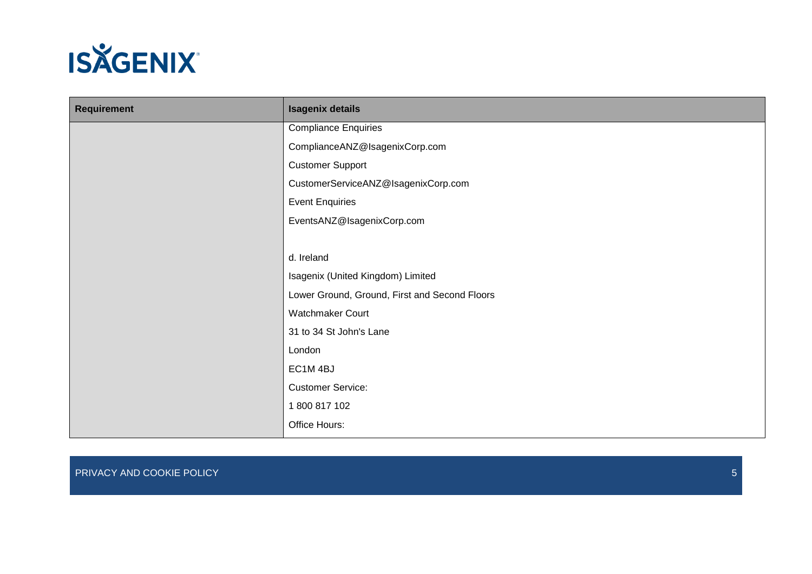

| Requirement | <b>Isagenix details</b>                       |
|-------------|-----------------------------------------------|
|             | <b>Compliance Enquiries</b>                   |
|             | ComplianceANZ@IsagenixCorp.com                |
|             | <b>Customer Support</b>                       |
|             | CustomerServiceANZ@IsagenixCorp.com           |
|             | <b>Event Enquiries</b>                        |
|             | EventsANZ@IsagenixCorp.com                    |
|             |                                               |
|             | d. Ireland                                    |
|             | Isagenix (United Kingdom) Limited             |
|             | Lower Ground, Ground, First and Second Floors |
|             | Watchmaker Court                              |
|             | 31 to 34 St John's Lane                       |
|             | London                                        |
|             | EC1M4BJ                                       |
|             | <b>Customer Service:</b>                      |
|             | 1800817102                                    |
|             | Office Hours:                                 |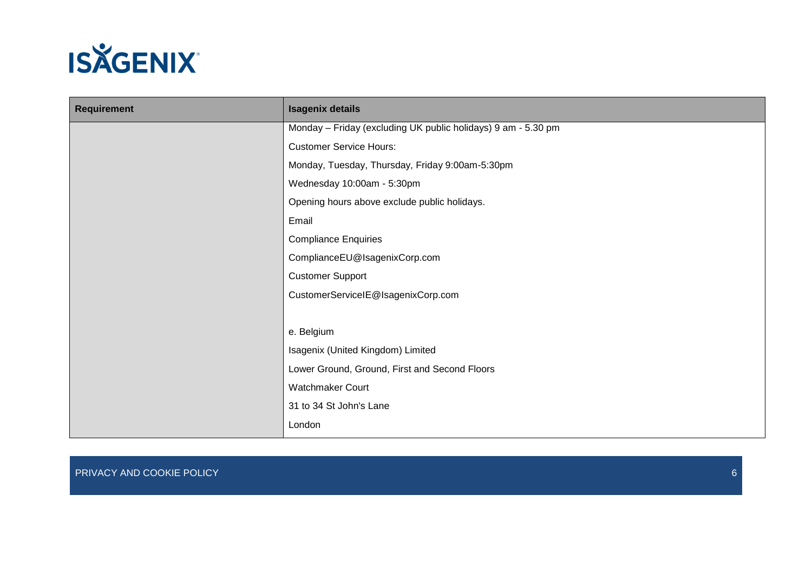

| <b>Requirement</b> | <b>Isagenix details</b>                                       |
|--------------------|---------------------------------------------------------------|
|                    | Monday - Friday (excluding UK public holidays) 9 am - 5.30 pm |
|                    | <b>Customer Service Hours:</b>                                |
|                    | Monday, Tuesday, Thursday, Friday 9:00am-5:30pm               |
|                    | Wednesday 10:00am - 5:30pm                                    |
|                    | Opening hours above exclude public holidays.                  |
|                    | Email                                                         |
|                    | <b>Compliance Enquiries</b>                                   |
|                    | ComplianceEU@IsagenixCorp.com                                 |
|                    | <b>Customer Support</b>                                       |
|                    | CustomerServiceIE@IsagenixCorp.com                            |
|                    |                                                               |
|                    | e. Belgium                                                    |
|                    | Isagenix (United Kingdom) Limited                             |
|                    | Lower Ground, Ground, First and Second Floors                 |
|                    | <b>Watchmaker Court</b>                                       |
|                    | 31 to 34 St John's Lane                                       |
|                    | London                                                        |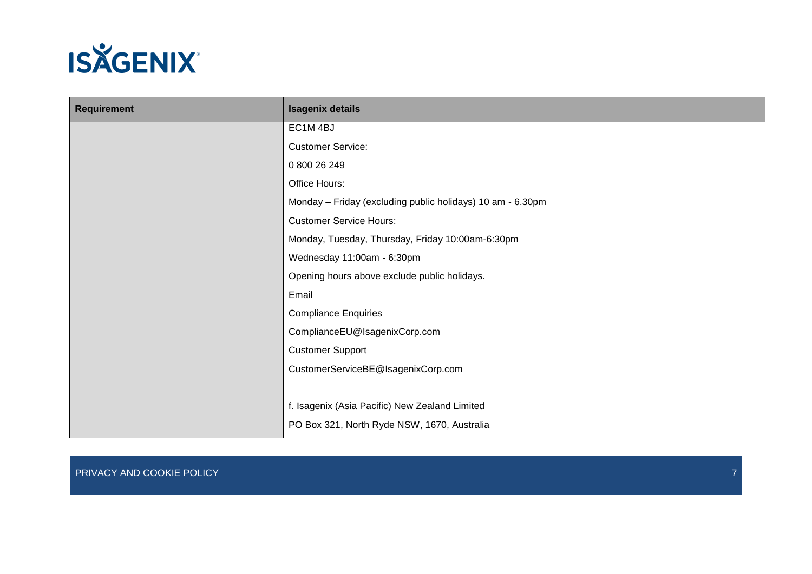

| <b>Requirement</b> | <b>Isagenix details</b>                                    |
|--------------------|------------------------------------------------------------|
|                    | EC1M4BJ                                                    |
|                    | <b>Customer Service:</b>                                   |
|                    | 0 800 26 249                                               |
|                    | Office Hours:                                              |
|                    | Monday - Friday (excluding public holidays) 10 am - 6.30pm |
|                    | <b>Customer Service Hours:</b>                             |
|                    | Monday, Tuesday, Thursday, Friday 10:00am-6:30pm           |
|                    | Wednesday 11:00am - 6:30pm                                 |
|                    | Opening hours above exclude public holidays.               |
|                    | Email                                                      |
|                    | <b>Compliance Enquiries</b>                                |
|                    | ComplianceEU@IsagenixCorp.com                              |
|                    | <b>Customer Support</b>                                    |
|                    | CustomerServiceBE@IsagenixCorp.com                         |
|                    |                                                            |
|                    | f. Isagenix (Asia Pacific) New Zealand Limited             |
|                    | PO Box 321, North Ryde NSW, 1670, Australia                |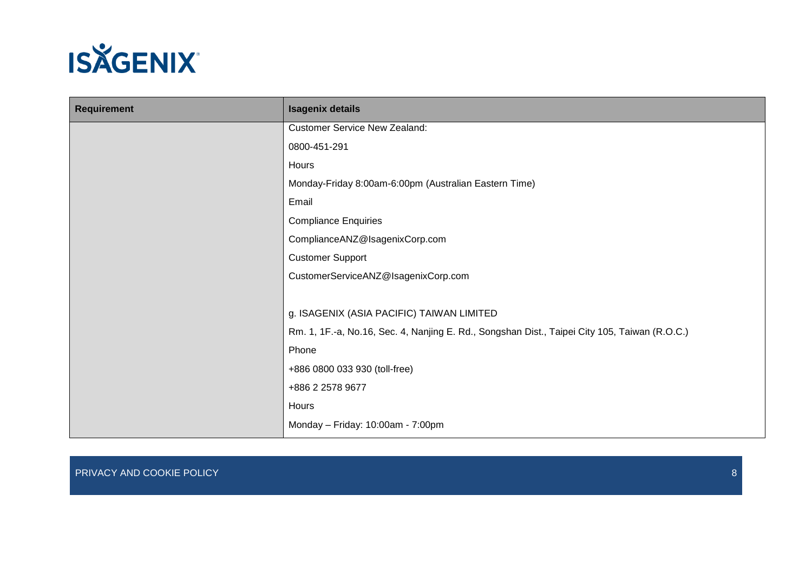

| <b>Requirement</b> | <b>Isagenix details</b>                                                                       |
|--------------------|-----------------------------------------------------------------------------------------------|
|                    | <b>Customer Service New Zealand:</b>                                                          |
|                    | 0800-451-291                                                                                  |
|                    | Hours                                                                                         |
|                    | Monday-Friday 8:00am-6:00pm (Australian Eastern Time)                                         |
|                    | Email                                                                                         |
|                    | <b>Compliance Enquiries</b>                                                                   |
|                    | ComplianceANZ@IsagenixCorp.com                                                                |
|                    | <b>Customer Support</b>                                                                       |
|                    | CustomerServiceANZ@IsagenixCorp.com                                                           |
|                    |                                                                                               |
|                    | g. ISAGENIX (ASIA PACIFIC) TAIWAN LIMITED                                                     |
|                    | Rm. 1, 1F.-a, No.16, Sec. 4, Nanjing E. Rd., Songshan Dist., Taipei City 105, Taiwan (R.O.C.) |
|                    | Phone                                                                                         |
|                    | +886 0800 033 930 (toll-free)                                                                 |
|                    | +886 2 2578 9677                                                                              |
|                    | Hours                                                                                         |
|                    | Monday - Friday: 10:00am - 7:00pm                                                             |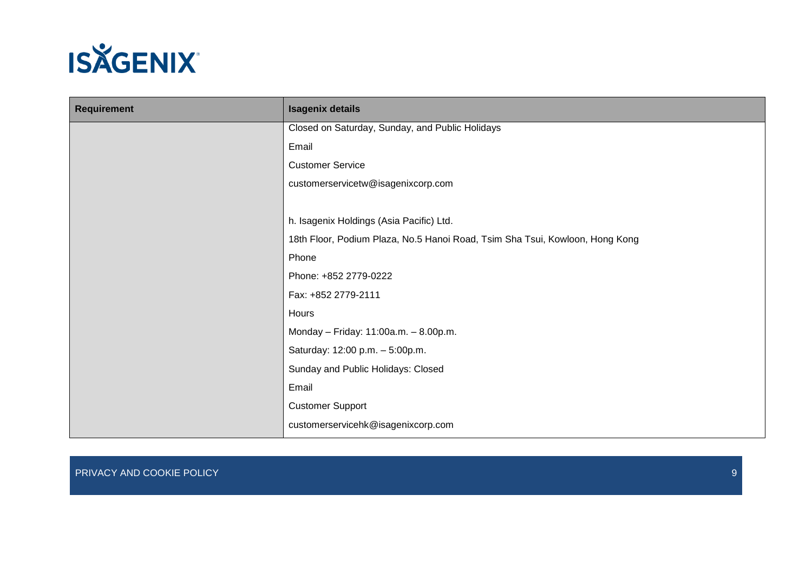

| <b>Requirement</b> | <b>Isagenix details</b>                                                      |
|--------------------|------------------------------------------------------------------------------|
|                    | Closed on Saturday, Sunday, and Public Holidays                              |
|                    | Email                                                                        |
|                    | <b>Customer Service</b>                                                      |
|                    | customerservicetw@isagenixcorp.com                                           |
|                    |                                                                              |
|                    | h. Isagenix Holdings (Asia Pacific) Ltd.                                     |
|                    | 18th Floor, Podium Plaza, No.5 Hanoi Road, Tsim Sha Tsui, Kowloon, Hong Kong |
|                    | Phone                                                                        |
|                    | Phone: +852 2779-0222                                                        |
|                    | Fax: +852 2779-2111                                                          |
|                    | Hours                                                                        |
|                    | Monday - Friday: 11:00a.m. - 8.00p.m.                                        |
|                    | Saturday: 12:00 p.m. - 5:00p.m.                                              |
|                    | Sunday and Public Holidays: Closed                                           |
|                    | Email                                                                        |
|                    | <b>Customer Support</b>                                                      |
|                    | customerservicehk@isagenixcorp.com                                           |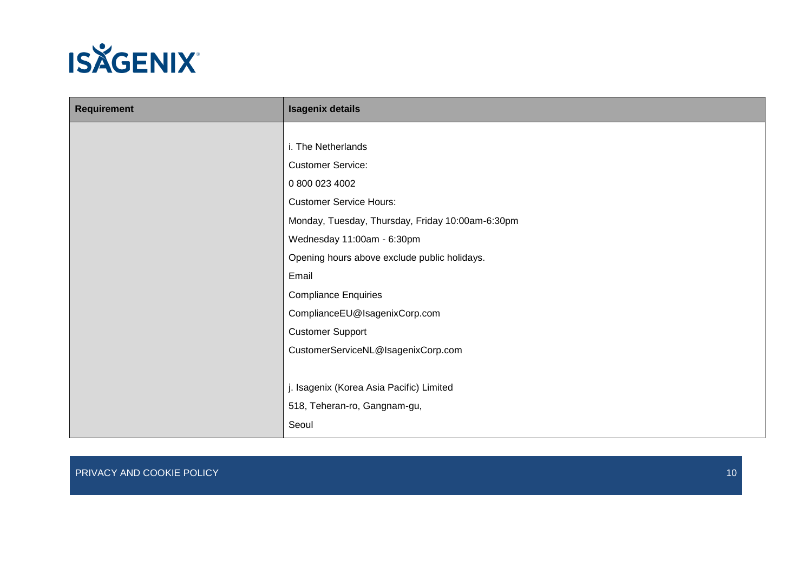

| <b>Requirement</b> | <b>Isagenix details</b>                          |
|--------------------|--------------------------------------------------|
|                    |                                                  |
|                    | i. The Netherlands                               |
|                    | <b>Customer Service:</b>                         |
|                    | 0 800 023 4002                                   |
|                    | <b>Customer Service Hours:</b>                   |
|                    | Monday, Tuesday, Thursday, Friday 10:00am-6:30pm |
|                    | Wednesday 11:00am - 6:30pm                       |
|                    | Opening hours above exclude public holidays.     |
|                    | Email                                            |
|                    | <b>Compliance Enquiries</b>                      |
|                    | ComplianceEU@IsagenixCorp.com                    |
|                    | <b>Customer Support</b>                          |
|                    | CustomerServiceNL@IsagenixCorp.com               |
|                    |                                                  |
|                    | j. Isagenix (Korea Asia Pacific) Limited         |
|                    | 518, Teheran-ro, Gangnam-gu,                     |
|                    | Seoul                                            |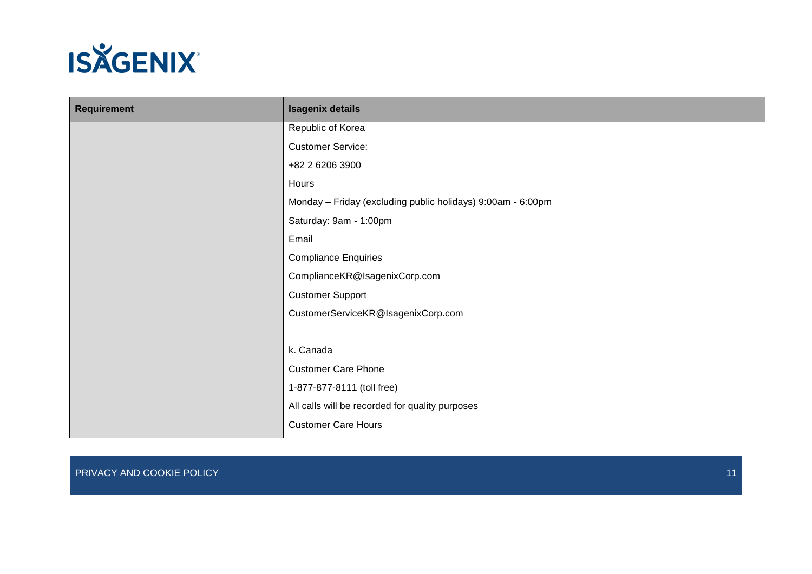

| <b>Requirement</b> | <b>Isagenix details</b>                                     |
|--------------------|-------------------------------------------------------------|
|                    | Republic of Korea                                           |
|                    | <b>Customer Service:</b>                                    |
|                    | +82 2 6206 3900                                             |
|                    | Hours                                                       |
|                    | Monday - Friday (excluding public holidays) 9:00am - 6:00pm |
|                    | Saturday: 9am - 1:00pm                                      |
|                    | Email                                                       |
|                    | <b>Compliance Enquiries</b>                                 |
|                    | ComplianceKR@IsagenixCorp.com                               |
|                    | <b>Customer Support</b>                                     |
|                    | CustomerServiceKR@IsagenixCorp.com                          |
|                    |                                                             |
|                    | k. Canada                                                   |
|                    | <b>Customer Care Phone</b>                                  |
|                    | 1-877-877-8111 (toll free)                                  |
|                    | All calls will be recorded for quality purposes             |
|                    | <b>Customer Care Hours</b>                                  |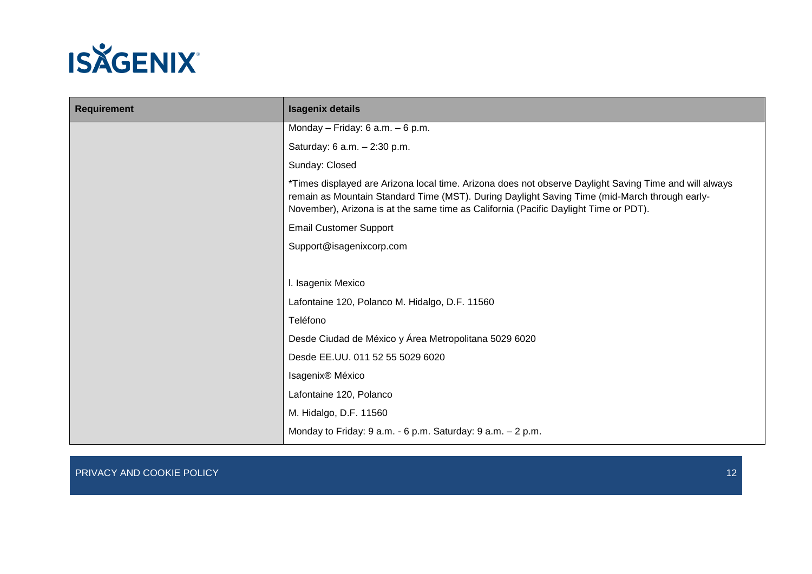

| <b>Requirement</b> | <b>Isagenix details</b>                                                                                                                                                                                                                                                                         |
|--------------------|-------------------------------------------------------------------------------------------------------------------------------------------------------------------------------------------------------------------------------------------------------------------------------------------------|
|                    | Monday - Friday: $6$ a.m. $-6$ p.m.                                                                                                                                                                                                                                                             |
|                    | Saturday: 6 a.m. - 2:30 p.m.                                                                                                                                                                                                                                                                    |
|                    | Sunday: Closed                                                                                                                                                                                                                                                                                  |
|                    | *Times displayed are Arizona local time. Arizona does not observe Daylight Saving Time and will always<br>remain as Mountain Standard Time (MST). During Daylight Saving Time (mid-March through early-<br>November), Arizona is at the same time as California (Pacific Daylight Time or PDT). |
|                    | <b>Email Customer Support</b>                                                                                                                                                                                                                                                                   |
|                    | Support@isagenixcorp.com                                                                                                                                                                                                                                                                        |
|                    |                                                                                                                                                                                                                                                                                                 |
|                    | I. Isagenix Mexico                                                                                                                                                                                                                                                                              |
|                    | Lafontaine 120, Polanco M. Hidalgo, D.F. 11560                                                                                                                                                                                                                                                  |
|                    | Teléfono                                                                                                                                                                                                                                                                                        |
|                    | Desde Ciudad de México y Área Metropolitana 5029 6020                                                                                                                                                                                                                                           |
|                    | Desde EE.UU. 011 52 55 5029 6020                                                                                                                                                                                                                                                                |
|                    | Isagenix® México                                                                                                                                                                                                                                                                                |
|                    | Lafontaine 120, Polanco                                                                                                                                                                                                                                                                         |
|                    | M. Hidalgo, D.F. 11560                                                                                                                                                                                                                                                                          |
|                    | Monday to Friday: 9 a.m. - 6 p.m. Saturday: 9 a.m. - 2 p.m.                                                                                                                                                                                                                                     |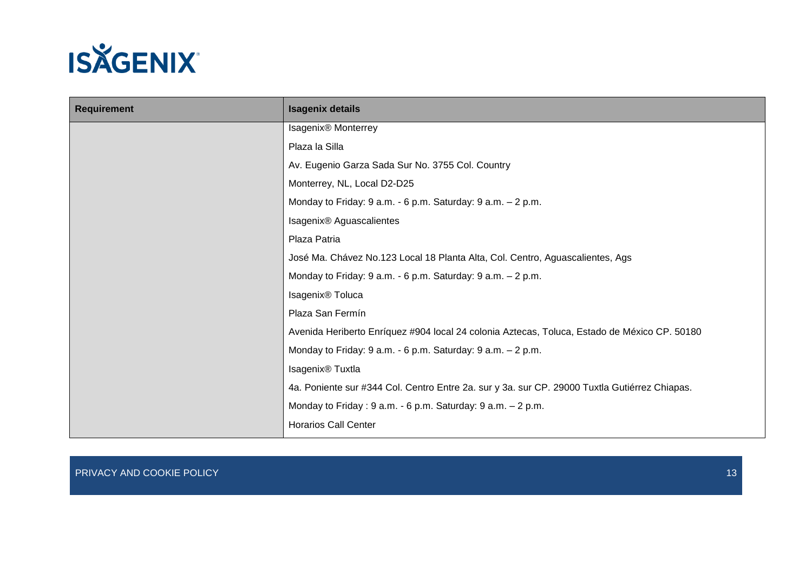

| <b>Requirement</b> | <b>Isagenix details</b>                                                                       |
|--------------------|-----------------------------------------------------------------------------------------------|
|                    | Isagenix <sup>®</sup> Monterrey                                                               |
|                    | Plaza la Silla                                                                                |
|                    | Av. Eugenio Garza Sada Sur No. 3755 Col. Country                                              |
|                    | Monterrey, NL, Local D2-D25                                                                   |
|                    | Monday to Friday: 9 a.m. - 6 p.m. Saturday: 9 a.m. - 2 p.m.                                   |
|                    | Isagenix <sup>®</sup> Aguascalientes                                                          |
|                    | Plaza Patria                                                                                  |
|                    | José Ma. Chávez No.123 Local 18 Planta Alta, Col. Centro, Aguascalientes, Ags                 |
|                    | Monday to Friday: 9 a.m. - 6 p.m. Saturday: 9 a.m. - 2 p.m.                                   |
|                    | Isagenix <sup>®</sup> Toluca                                                                  |
|                    | Plaza San Fermín                                                                              |
|                    | Avenida Heriberto Enríquez #904 local 24 colonia Aztecas, Toluca, Estado de México CP. 50180  |
|                    | Monday to Friday: 9 a.m. - 6 p.m. Saturday: 9 a.m. - 2 p.m.                                   |
|                    | Isagenix <sup>®</sup> Tuxtla                                                                  |
|                    | 4a. Poniente sur #344 Col. Centro Entre 2a. sur y 3a. sur CP. 29000 Tuxtla Gutiérrez Chiapas. |
|                    | Monday to Friday: 9 a.m. - 6 p.m. Saturday: 9 a.m. - 2 p.m.                                   |
|                    | <b>Horarios Call Center</b>                                                                   |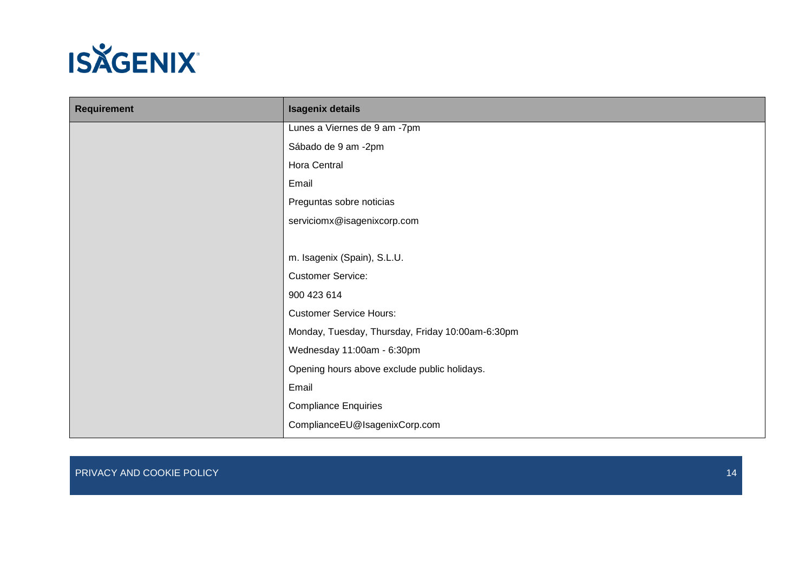

| <b>Requirement</b> | <b>Isagenix details</b>                          |
|--------------------|--------------------------------------------------|
|                    | Lunes a Viernes de 9 am -7pm                     |
|                    | Sábado de 9 am -2pm                              |
|                    | Hora Central                                     |
|                    | Email                                            |
|                    | Preguntas sobre noticias                         |
|                    | serviciomx@isagenixcorp.com                      |
|                    |                                                  |
|                    | m. Isagenix (Spain), S.L.U.                      |
|                    | <b>Customer Service:</b>                         |
|                    | 900 423 614                                      |
|                    | <b>Customer Service Hours:</b>                   |
|                    | Monday, Tuesday, Thursday, Friday 10:00am-6:30pm |
|                    | Wednesday 11:00am - 6:30pm                       |
|                    | Opening hours above exclude public holidays.     |
|                    | Email                                            |
|                    | <b>Compliance Enquiries</b>                      |
|                    | ComplianceEU@IsagenixCorp.com                    |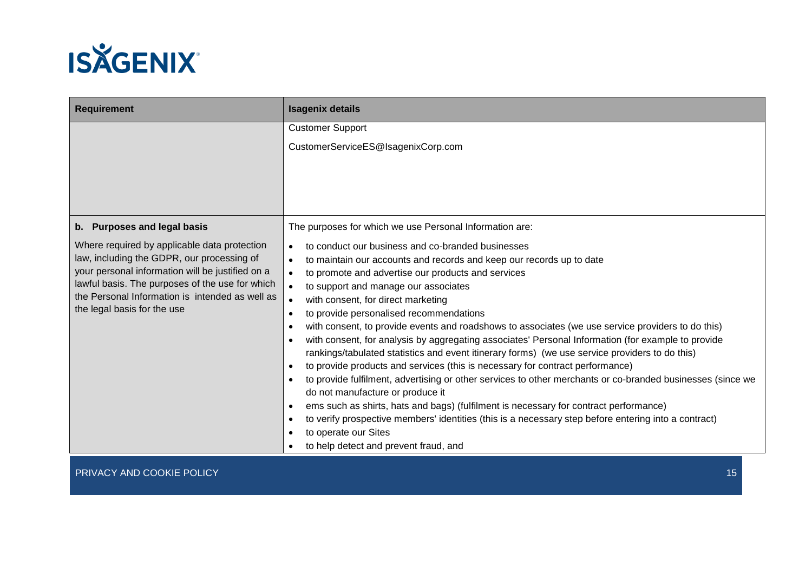

| <b>Requirement</b>                                                                                                                                                                                                                                                                  | <b>Isagenix details</b>                                                                                                                                                                                                                                                                                                                                                                                                                                                                                                                                                                                                                                                                                                                                                                                                                                                                                                                                                                                                                                                                                                                                                                                  |
|-------------------------------------------------------------------------------------------------------------------------------------------------------------------------------------------------------------------------------------------------------------------------------------|----------------------------------------------------------------------------------------------------------------------------------------------------------------------------------------------------------------------------------------------------------------------------------------------------------------------------------------------------------------------------------------------------------------------------------------------------------------------------------------------------------------------------------------------------------------------------------------------------------------------------------------------------------------------------------------------------------------------------------------------------------------------------------------------------------------------------------------------------------------------------------------------------------------------------------------------------------------------------------------------------------------------------------------------------------------------------------------------------------------------------------------------------------------------------------------------------------|
|                                                                                                                                                                                                                                                                                     | <b>Customer Support</b>                                                                                                                                                                                                                                                                                                                                                                                                                                                                                                                                                                                                                                                                                                                                                                                                                                                                                                                                                                                                                                                                                                                                                                                  |
|                                                                                                                                                                                                                                                                                     | CustomerServiceES@IsagenixCorp.com                                                                                                                                                                                                                                                                                                                                                                                                                                                                                                                                                                                                                                                                                                                                                                                                                                                                                                                                                                                                                                                                                                                                                                       |
|                                                                                                                                                                                                                                                                                     |                                                                                                                                                                                                                                                                                                                                                                                                                                                                                                                                                                                                                                                                                                                                                                                                                                                                                                                                                                                                                                                                                                                                                                                                          |
| b. Purposes and legal basis                                                                                                                                                                                                                                                         | The purposes for which we use Personal Information are:                                                                                                                                                                                                                                                                                                                                                                                                                                                                                                                                                                                                                                                                                                                                                                                                                                                                                                                                                                                                                                                                                                                                                  |
| Where required by applicable data protection<br>law, including the GDPR, our processing of<br>your personal information will be justified on a<br>lawful basis. The purposes of the use for which<br>the Personal Information is intended as well as<br>the legal basis for the use | to conduct our business and co-branded businesses<br>to maintain our accounts and records and keep our records up to date<br>to promote and advertise our products and services<br>to support and manage our associates<br>with consent, for direct marketing<br>to provide personalised recommendations<br>$\bullet$<br>with consent, to provide events and roadshows to associates (we use service providers to do this)<br>$\bullet$<br>with consent, for analysis by aggregating associates' Personal Information (for example to provide<br>$\bullet$<br>rankings/tabulated statistics and event itinerary forms) (we use service providers to do this)<br>to provide products and services (this is necessary for contract performance)<br>$\bullet$<br>to provide fulfilment, advertising or other services to other merchants or co-branded businesses (since we<br>$\bullet$<br>do not manufacture or produce it<br>ems such as shirts, hats and bags) (fulfilment is necessary for contract performance)<br>$\bullet$<br>to verify prospective members' identities (this is a necessary step before entering into a contract)<br>to operate our Sites<br>to help detect and prevent fraud, and |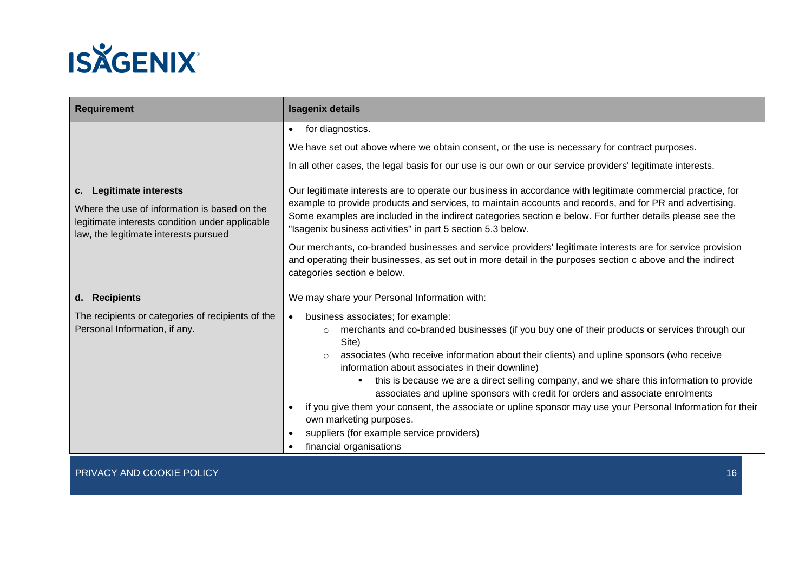

| <b>Isagenix details</b>                                                                                                                                                                                                                                                                                                                                                                                                                                                                                                                                                                                                                                                                                           |  |
|-------------------------------------------------------------------------------------------------------------------------------------------------------------------------------------------------------------------------------------------------------------------------------------------------------------------------------------------------------------------------------------------------------------------------------------------------------------------------------------------------------------------------------------------------------------------------------------------------------------------------------------------------------------------------------------------------------------------|--|
| • for diagnostics.<br>We have set out above where we obtain consent, or the use is necessary for contract purposes.<br>In all other cases, the legal basis for our use is our own or our service providers' legitimate interests.                                                                                                                                                                                                                                                                                                                                                                                                                                                                                 |  |
| Our legitimate interests are to operate our business in accordance with legitimate commercial practice, for<br>example to provide products and services, to maintain accounts and records, and for PR and advertising.<br>Some examples are included in the indirect categories section e below. For further details please see the<br>"Isagenix business activities" in part 5 section 5.3 below.<br>Our merchants, co-branded businesses and service providers' legitimate interests are for service provision<br>and operating their businesses, as set out in more detail in the purposes section c above and the indirect<br>categories section e below.                                                     |  |
| We may share your Personal Information with:                                                                                                                                                                                                                                                                                                                                                                                                                                                                                                                                                                                                                                                                      |  |
| business associates; for example:<br>merchants and co-branded businesses (if you buy one of their products or services through our<br>$\circ$<br>Site)<br>associates (who receive information about their clients) and upline sponsors (who receive<br>$\circ$<br>information about associates in their downline)<br>this is because we are a direct selling company, and we share this information to provide<br>associates and upline sponsors with credit for orders and associate enrolments<br>if you give them your consent, the associate or upline sponsor may use your Personal Information for their<br>own marketing purposes.<br>suppliers (for example service providers)<br>financial organisations |  |
|                                                                                                                                                                                                                                                                                                                                                                                                                                                                                                                                                                                                                                                                                                                   |  |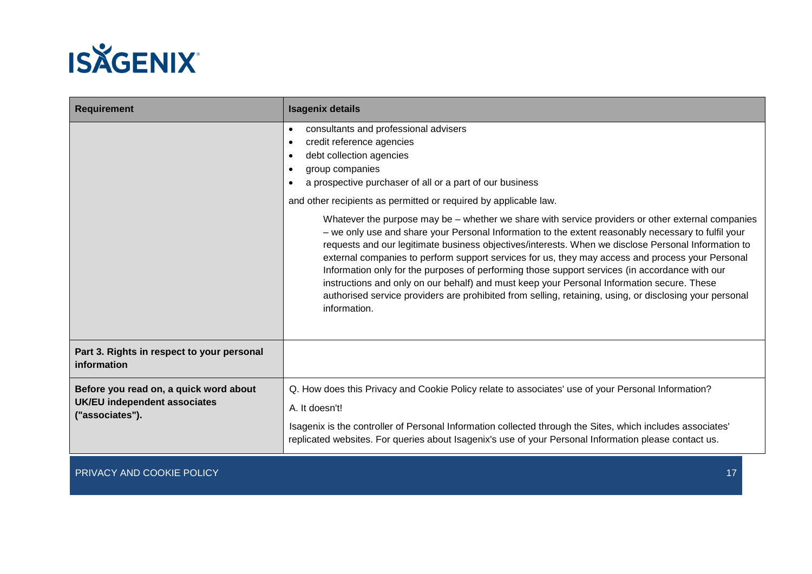

| <b>Requirement</b>                                                                              | <b>Isagenix details</b>                                                                                                                                                                                                                                                                                                                                                                                                                                                                                                                                                                                                                                                                                                                                                                                            |  |
|-------------------------------------------------------------------------------------------------|--------------------------------------------------------------------------------------------------------------------------------------------------------------------------------------------------------------------------------------------------------------------------------------------------------------------------------------------------------------------------------------------------------------------------------------------------------------------------------------------------------------------------------------------------------------------------------------------------------------------------------------------------------------------------------------------------------------------------------------------------------------------------------------------------------------------|--|
|                                                                                                 | consultants and professional advisers<br>$\bullet$<br>credit reference agencies<br>$\bullet$<br>debt collection agencies<br>group companies<br>$\bullet$<br>a prospective purchaser of all or a part of our business                                                                                                                                                                                                                                                                                                                                                                                                                                                                                                                                                                                               |  |
|                                                                                                 | and other recipients as permitted or required by applicable law.<br>Whatever the purpose may be – whether we share with service providers or other external companies<br>- we only use and share your Personal Information to the extent reasonably necessary to fulfil your<br>requests and our legitimate business objectives/interests. When we disclose Personal Information to<br>external companies to perform support services for us, they may access and process your Personal<br>Information only for the purposes of performing those support services (in accordance with our<br>instructions and only on our behalf) and must keep your Personal Information secure. These<br>authorised service providers are prohibited from selling, retaining, using, or disclosing your personal<br>information. |  |
| Part 3. Rights in respect to your personal<br>information                                       |                                                                                                                                                                                                                                                                                                                                                                                                                                                                                                                                                                                                                                                                                                                                                                                                                    |  |
| Before you read on, a quick word about<br><b>UK/EU</b> independent associates<br>"associates"). | Q. How does this Privacy and Cookie Policy relate to associates' use of your Personal Information?<br>A. It doesn't!<br>Isagenix is the controller of Personal Information collected through the Sites, which includes associates'<br>replicated websites. For queries about Isagenix's use of your Personal Information please contact us.                                                                                                                                                                                                                                                                                                                                                                                                                                                                        |  |
| PRIVACY AND COOKIE POLICY                                                                       | 17                                                                                                                                                                                                                                                                                                                                                                                                                                                                                                                                                                                                                                                                                                                                                                                                                 |  |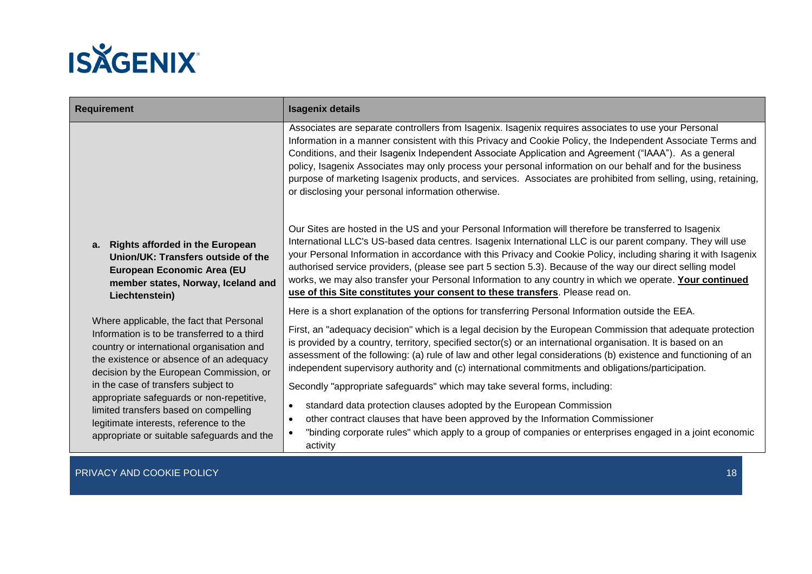

| <b>Requirement</b>                                                                                                                                                                                                         |                                                                                                                                                                                                                                                                                                                                                                                                                                                                                                                                                           | <b>Isagenix details</b>                                                                                                                                                                                                                                                                                                                                                                                                                                                                                                                                                                                                                            |  |
|----------------------------------------------------------------------------------------------------------------------------------------------------------------------------------------------------------------------------|-----------------------------------------------------------------------------------------------------------------------------------------------------------------------------------------------------------------------------------------------------------------------------------------------------------------------------------------------------------------------------------------------------------------------------------------------------------------------------------------------------------------------------------------------------------|----------------------------------------------------------------------------------------------------------------------------------------------------------------------------------------------------------------------------------------------------------------------------------------------------------------------------------------------------------------------------------------------------------------------------------------------------------------------------------------------------------------------------------------------------------------------------------------------------------------------------------------------------|--|
|                                                                                                                                                                                                                            |                                                                                                                                                                                                                                                                                                                                                                                                                                                                                                                                                           | Associates are separate controllers from Isagenix. Isagenix requires associates to use your Personal<br>Information in a manner consistent with this Privacy and Cookie Policy, the Independent Associate Terms and<br>Conditions, and their Isagenix Independent Associate Application and Agreement ("IAAA"). As a general<br>policy, Isagenix Associates may only process your personal information on our behalf and for the business<br>purpose of marketing Isagenix products, and services. Associates are prohibited from selling, using, retaining,<br>or disclosing your personal information otherwise.                                 |  |
|                                                                                                                                                                                                                            | a. Rights afforded in the European<br>Union/UK: Transfers outside of the<br>European Economic Area (EU<br>member states, Norway, Iceland and<br>Liechtenstein)                                                                                                                                                                                                                                                                                                                                                                                            | Our Sites are hosted in the US and your Personal Information will therefore be transferred to Isagenix<br>International LLC's US-based data centres. Isagenix International LLC is our parent company. They will use<br>your Personal Information in accordance with this Privacy and Cookie Policy, including sharing it with Isagenix<br>authorised service providers, (please see part 5 section 5.3). Because of the way our direct selling model<br>works, we may also transfer your Personal Information to any country in which we operate. Your continued<br>use of this Site constitutes your consent to these transfers. Please read on. |  |
| Where applicable, the fact that Personal<br>Information is to be transferred to a third<br>country or international organisation and<br>the existence or absence of an adequacy<br>decision by the European Commission, or | Here is a short explanation of the options for transferring Personal Information outside the EEA.<br>First, an "adequacy decision" which is a legal decision by the European Commission that adequate protection<br>is provided by a country, territory, specified sector(s) or an international organisation. It is based on an<br>assessment of the following: (a) rule of law and other legal considerations (b) existence and functioning of an<br>independent supervisory authority and (c) international commitments and obligations/participation. |                                                                                                                                                                                                                                                                                                                                                                                                                                                                                                                                                                                                                                                    |  |
|                                                                                                                                                                                                                            | in the case of transfers subject to<br>appropriate safeguards or non-repetitive,<br>limited transfers based on compelling<br>legitimate interests, reference to the<br>appropriate or suitable safeguards and the                                                                                                                                                                                                                                                                                                                                         | Secondly "appropriate safeguards" which may take several forms, including:<br>standard data protection clauses adopted by the European Commission<br>$\bullet$<br>other contract clauses that have been approved by the Information Commissioner<br>$\bullet$<br>"binding corporate rules" which apply to a group of companies or enterprises engaged in a joint economic<br>activity                                                                                                                                                                                                                                                              |  |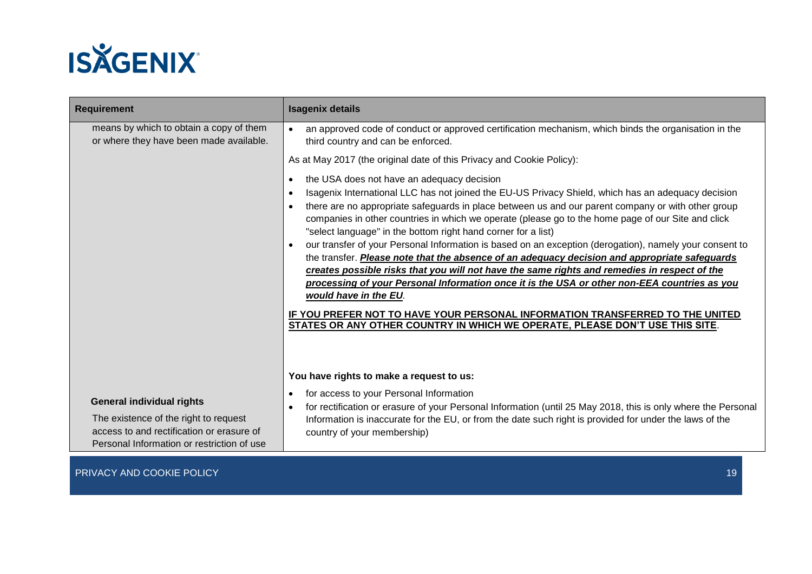

| <b>Requirement</b>                                                                                                                                                   | <b>Isagenix details</b>                                                                                                                                                                                                                                                                                                                                                                                                                                                                                                                                                                                                                                                                                                                                                                                                                                                                                                                                                                                                                                       |  |
|----------------------------------------------------------------------------------------------------------------------------------------------------------------------|---------------------------------------------------------------------------------------------------------------------------------------------------------------------------------------------------------------------------------------------------------------------------------------------------------------------------------------------------------------------------------------------------------------------------------------------------------------------------------------------------------------------------------------------------------------------------------------------------------------------------------------------------------------------------------------------------------------------------------------------------------------------------------------------------------------------------------------------------------------------------------------------------------------------------------------------------------------------------------------------------------------------------------------------------------------|--|
| means by which to obtain a copy of them<br>or where they have been made available.                                                                                   | an approved code of conduct or approved certification mechanism, which binds the organisation in the<br>third country and can be enforced.                                                                                                                                                                                                                                                                                                                                                                                                                                                                                                                                                                                                                                                                                                                                                                                                                                                                                                                    |  |
|                                                                                                                                                                      | As at May 2017 (the original date of this Privacy and Cookie Policy):                                                                                                                                                                                                                                                                                                                                                                                                                                                                                                                                                                                                                                                                                                                                                                                                                                                                                                                                                                                         |  |
|                                                                                                                                                                      | the USA does not have an adequacy decision<br>$\bullet$<br>Isagenix International LLC has not joined the EU-US Privacy Shield, which has an adequacy decision<br>$\bullet$<br>there are no appropriate safeguards in place between us and our parent company or with other group<br>companies in other countries in which we operate (please go to the home page of our Site and click<br>"select language" in the bottom right hand corner for a list)<br>our transfer of your Personal Information is based on an exception (derogation), namely your consent to<br>the transfer. Please note that the absence of an adequacy decision and appropriate safeguards<br>creates possible risks that you will not have the same rights and remedies in respect of the<br>processing of your Personal Information once it is the USA or other non-EEA countries as you<br>would have in the EU.<br>IF YOU PREFER NOT TO HAVE YOUR PERSONAL INFORMATION TRANSFERRED TO THE UNITED<br>STATES OR ANY OTHER COUNTRY IN WHICH WE OPERATE, PLEASE DON'T USE THIS SITE. |  |
|                                                                                                                                                                      | You have rights to make a request to us:                                                                                                                                                                                                                                                                                                                                                                                                                                                                                                                                                                                                                                                                                                                                                                                                                                                                                                                                                                                                                      |  |
| <b>General individual rights</b><br>The existence of the right to request<br>access to and rectification or erasure of<br>Personal Information or restriction of use | for access to your Personal Information<br>for rectification or erasure of your Personal Information (until 25 May 2018, this is only where the Personal<br>Information is inaccurate for the EU, or from the date such right is provided for under the laws of the<br>country of your membership)                                                                                                                                                                                                                                                                                                                                                                                                                                                                                                                                                                                                                                                                                                                                                            |  |
|                                                                                                                                                                      |                                                                                                                                                                                                                                                                                                                                                                                                                                                                                                                                                                                                                                                                                                                                                                                                                                                                                                                                                                                                                                                               |  |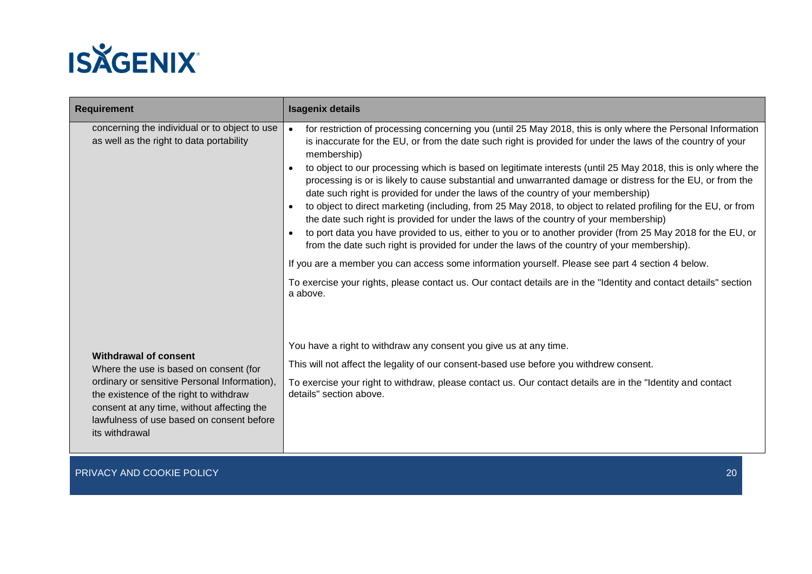

| <b>Requirement</b>                                                                                                                                                                                  | <b>Isagenix details</b>                                                                                                                                                                                                                                                                                                                                                                                                                                                                                                                                                                                                                                                                                                                                                                                                                                                                                                                                                                                                                                                                                                                                                                                                                                |  |
|-----------------------------------------------------------------------------------------------------------------------------------------------------------------------------------------------------|--------------------------------------------------------------------------------------------------------------------------------------------------------------------------------------------------------------------------------------------------------------------------------------------------------------------------------------------------------------------------------------------------------------------------------------------------------------------------------------------------------------------------------------------------------------------------------------------------------------------------------------------------------------------------------------------------------------------------------------------------------------------------------------------------------------------------------------------------------------------------------------------------------------------------------------------------------------------------------------------------------------------------------------------------------------------------------------------------------------------------------------------------------------------------------------------------------------------------------------------------------|--|
| concerning the individual or to object to use<br>as well as the right to data portability                                                                                                           | for restriction of processing concerning you (until 25 May 2018, this is only where the Personal Information<br>is inaccurate for the EU, or from the date such right is provided for under the laws of the country of your<br>membership)<br>to object to our processing which is based on legitimate interests (until 25 May 2018, this is only where the<br>$\bullet$<br>processing is or is likely to cause substantial and unwarranted damage or distress for the EU, or from the<br>date such right is provided for under the laws of the country of your membership)<br>to object to direct marketing (including, from 25 May 2018, to object to related profiling for the EU, or from<br>$\bullet$<br>the date such right is provided for under the laws of the country of your membership)<br>to port data you have provided to us, either to you or to another provider (from 25 May 2018 for the EU, or<br>from the date such right is provided for under the laws of the country of your membership).<br>If you are a member you can access some information yourself. Please see part 4 section 4 below.<br>To exercise your rights, please contact us. Our contact details are in the "Identity and contact details" section<br>a above. |  |
| Withdrawal of consent                                                                                                                                                                               | You have a right to withdraw any consent you give us at any time.                                                                                                                                                                                                                                                                                                                                                                                                                                                                                                                                                                                                                                                                                                                                                                                                                                                                                                                                                                                                                                                                                                                                                                                      |  |
| Where the use is based on consent (for                                                                                                                                                              | This will not affect the legality of our consent-based use before you withdrew consent.                                                                                                                                                                                                                                                                                                                                                                                                                                                                                                                                                                                                                                                                                                                                                                                                                                                                                                                                                                                                                                                                                                                                                                |  |
| ordinary or sensitive Personal Information),<br>the existence of the right to withdraw<br>consent at any time, without affecting the<br>lawfulness of use based on consent before<br>its withdrawal | To exercise your right to withdraw, please contact us. Our contact details are in the "Identity and contact<br>details" section above.                                                                                                                                                                                                                                                                                                                                                                                                                                                                                                                                                                                                                                                                                                                                                                                                                                                                                                                                                                                                                                                                                                                 |  |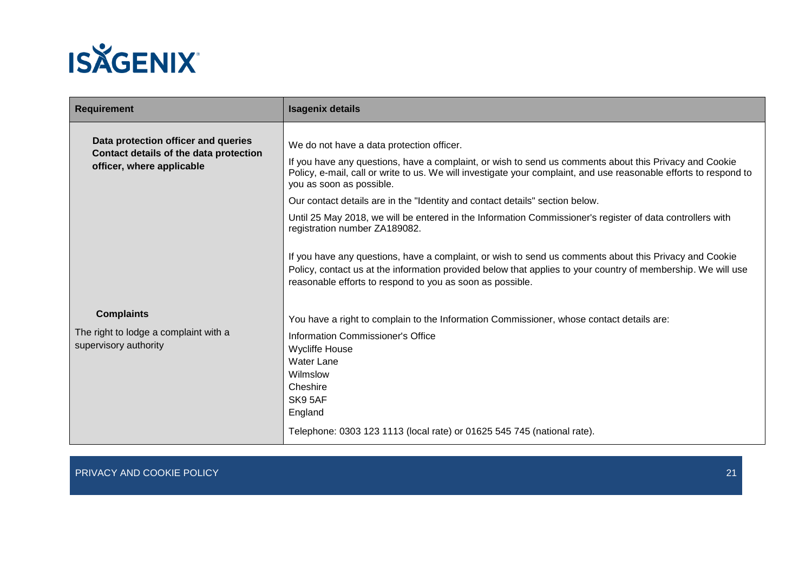

| <b>Requirement</b>                                                                                         | <b>Isagenix details</b>                                                                                                                                                                                                                                                                                                                                                                                                           |  |
|------------------------------------------------------------------------------------------------------------|-----------------------------------------------------------------------------------------------------------------------------------------------------------------------------------------------------------------------------------------------------------------------------------------------------------------------------------------------------------------------------------------------------------------------------------|--|
| Data protection officer and queries<br>Contact details of the data protection<br>officer, where applicable | We do not have a data protection officer.<br>If you have any questions, have a complaint, or wish to send us comments about this Privacy and Cookie<br>Policy, e-mail, call or write to us. We will investigate your complaint, and use reasonable efforts to respond to<br>you as soon as possible.<br>Our contact details are in the "Identity and contact details" section below.                                              |  |
|                                                                                                            | Until 25 May 2018, we will be entered in the Information Commissioner's register of data controllers with<br>registration number ZA189082.<br>If you have any questions, have a complaint, or wish to send us comments about this Privacy and Cookie<br>Policy, contact us at the information provided below that applies to your country of membership. We will use<br>reasonable efforts to respond to you as soon as possible. |  |
| <b>Complaints</b><br>The right to lodge a complaint with a<br>supervisory authority                        | You have a right to complain to the Information Commissioner, whose contact details are:<br>Information Commissioner's Office<br><b>Wycliffe House</b><br><b>Water Lane</b><br>Wilmslow<br>Cheshire<br>SK9 5AF<br>England<br>Telephone: 0303 123 1113 (local rate) or 01625 545 745 (national rate).                                                                                                                              |  |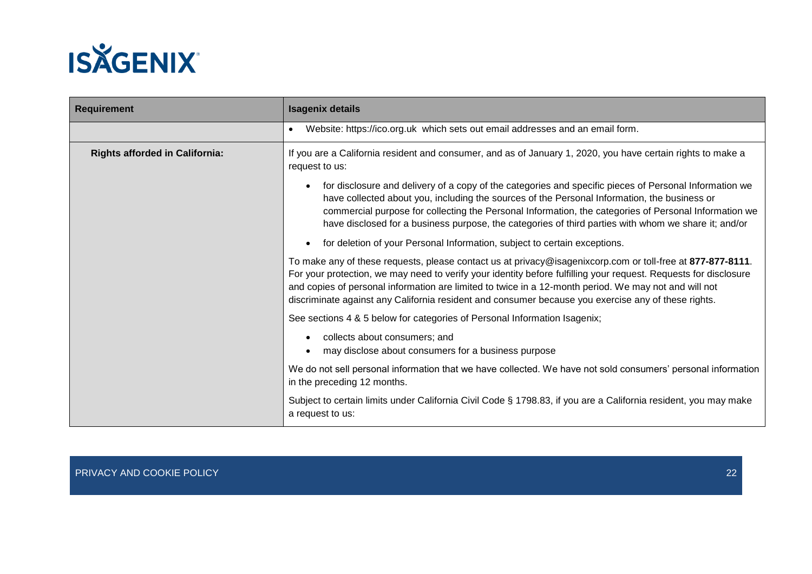

| <b>Requirement</b>                    | <b>Isagenix details</b>                                                                                                                                                                                                                                                                                                                                                                                                                        |  |
|---------------------------------------|------------------------------------------------------------------------------------------------------------------------------------------------------------------------------------------------------------------------------------------------------------------------------------------------------------------------------------------------------------------------------------------------------------------------------------------------|--|
|                                       | Website: https://ico.org.uk which sets out email addresses and an email form.                                                                                                                                                                                                                                                                                                                                                                  |  |
| <b>Rights afforded in California:</b> | If you are a California resident and consumer, and as of January 1, 2020, you have certain rights to make a<br>request to us:                                                                                                                                                                                                                                                                                                                  |  |
|                                       | for disclosure and delivery of a copy of the categories and specific pieces of Personal Information we<br>have collected about you, including the sources of the Personal Information, the business or<br>commercial purpose for collecting the Personal Information, the categories of Personal Information we<br>have disclosed for a business purpose, the categories of third parties with whom we share it; and/or                        |  |
|                                       | for deletion of your Personal Information, subject to certain exceptions.                                                                                                                                                                                                                                                                                                                                                                      |  |
|                                       | To make any of these requests, please contact us at privacy@isagenixcorp.com or toll-free at 877-877-8111.<br>For your protection, we may need to verify your identity before fulfilling your request. Requests for disclosure<br>and copies of personal information are limited to twice in a 12-month period. We may not and will not<br>discriminate against any California resident and consumer because you exercise any of these rights. |  |
|                                       | See sections 4 & 5 below for categories of Personal Information Isagenix;                                                                                                                                                                                                                                                                                                                                                                      |  |
|                                       | collects about consumers; and<br>may disclose about consumers for a business purpose                                                                                                                                                                                                                                                                                                                                                           |  |
|                                       | We do not sell personal information that we have collected. We have not sold consumers' personal information<br>in the preceding 12 months.                                                                                                                                                                                                                                                                                                    |  |
|                                       | Subject to certain limits under California Civil Code § 1798.83, if you are a California resident, you may make<br>a request to us:                                                                                                                                                                                                                                                                                                            |  |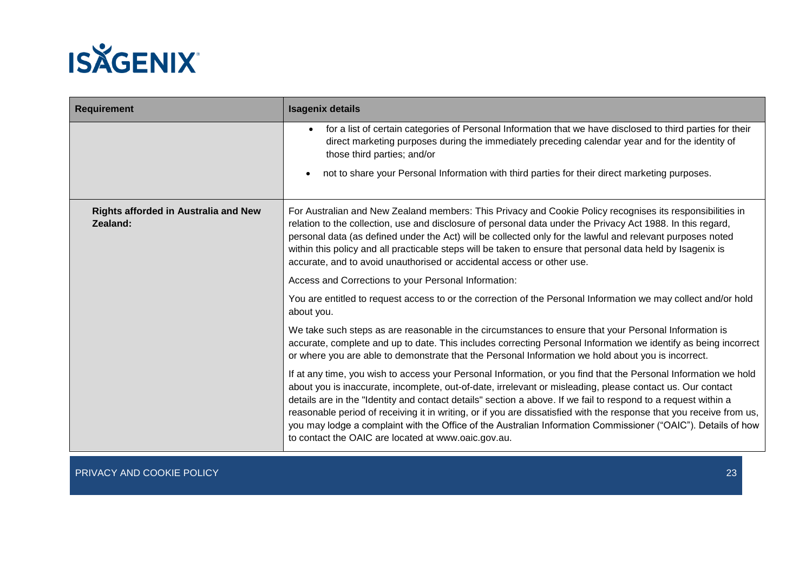

| Requirement                                             | <b>Isagenix details</b>                                                                                                                                                                                                                                                                                                                                                                                                                                                                                                                                                                                                                         |  |
|---------------------------------------------------------|-------------------------------------------------------------------------------------------------------------------------------------------------------------------------------------------------------------------------------------------------------------------------------------------------------------------------------------------------------------------------------------------------------------------------------------------------------------------------------------------------------------------------------------------------------------------------------------------------------------------------------------------------|--|
|                                                         | for a list of certain categories of Personal Information that we have disclosed to third parties for their<br>direct marketing purposes during the immediately preceding calendar year and for the identity of<br>those third parties; and/or<br>not to share your Personal Information with third parties for their direct marketing purposes.<br>$\bullet$                                                                                                                                                                                                                                                                                    |  |
|                                                         |                                                                                                                                                                                                                                                                                                                                                                                                                                                                                                                                                                                                                                                 |  |
| <b>Rights afforded in Australia and New</b><br>Zealand: | For Australian and New Zealand members: This Privacy and Cookie Policy recognises its responsibilities in<br>relation to the collection, use and disclosure of personal data under the Privacy Act 1988. In this regard,<br>personal data (as defined under the Act) will be collected only for the lawful and relevant purposes noted<br>within this policy and all practicable steps will be taken to ensure that personal data held by Isagenix is<br>accurate, and to avoid unauthorised or accidental access or other use.                                                                                                                 |  |
|                                                         | Access and Corrections to your Personal Information:                                                                                                                                                                                                                                                                                                                                                                                                                                                                                                                                                                                            |  |
|                                                         | You are entitled to request access to or the correction of the Personal Information we may collect and/or hold<br>about you.                                                                                                                                                                                                                                                                                                                                                                                                                                                                                                                    |  |
|                                                         | We take such steps as are reasonable in the circumstances to ensure that your Personal Information is<br>accurate, complete and up to date. This includes correcting Personal Information we identify as being incorrect<br>or where you are able to demonstrate that the Personal Information we hold about you is incorrect.                                                                                                                                                                                                                                                                                                                  |  |
|                                                         | If at any time, you wish to access your Personal Information, or you find that the Personal Information we hold<br>about you is inaccurate, incomplete, out-of-date, irrelevant or misleading, please contact us. Our contact<br>details are in the "Identity and contact details" section a above. If we fail to respond to a request within a<br>reasonable period of receiving it in writing, or if you are dissatisfied with the response that you receive from us,<br>you may lodge a complaint with the Office of the Australian Information Commissioner ("OAIC"). Details of how<br>to contact the OAIC are located at www.oaic.gov.au. |  |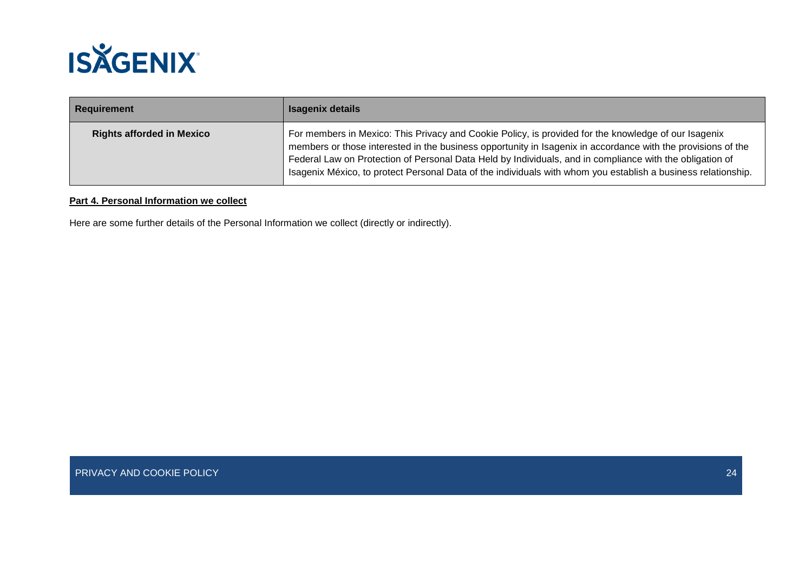

| Requirement                      | <b>Isagenix details</b>                                                                                                                                                                                                                                                                                                                                                                                                                           |
|----------------------------------|---------------------------------------------------------------------------------------------------------------------------------------------------------------------------------------------------------------------------------------------------------------------------------------------------------------------------------------------------------------------------------------------------------------------------------------------------|
| <b>Rights afforded in Mexico</b> | For members in Mexico: This Privacy and Cookie Policy, is provided for the knowledge of our Isagenix<br>members or those interested in the business opportunity in Isagenix in accordance with the provisions of the<br>Federal Law on Protection of Personal Data Held by Individuals, and in compliance with the obligation of<br>Isagenix México, to protect Personal Data of the individuals with whom you establish a business relationship. |

## **Part 4. Personal Information we collect**

Here are some further details of the Personal Information we collect (directly or indirectly).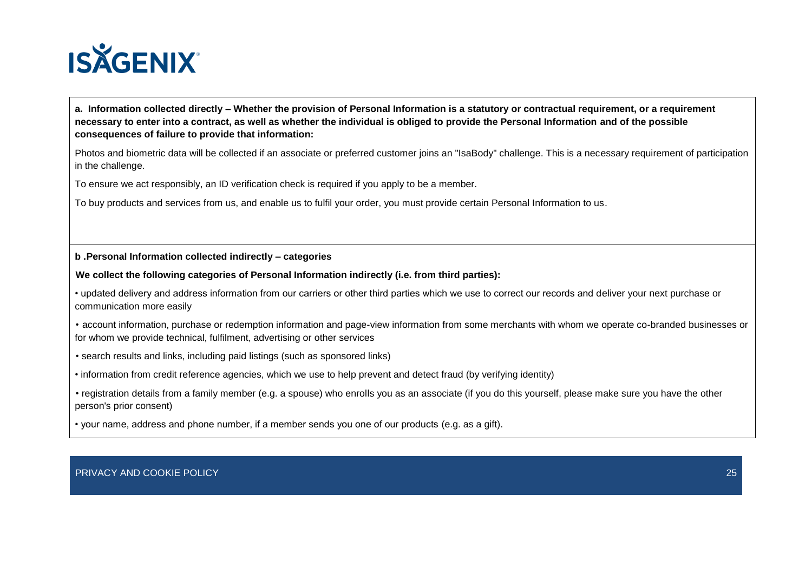

**a. Information collected directly – Whether the provision of Personal Information is a statutory or contractual requirement, or a requirement necessary to enter into a contract, as well as whether the individual is obliged to provide the Personal Information and of the possible consequences of failure to provide that information:**

Photos and biometric data will be collected if an associate or preferred customer joins an "IsaBody" challenge. This is a necessary requirement of participation in the challenge.

To ensure we act responsibly, an ID verification check is required if you apply to be a member.

To buy products and services from us, and enable us to fulfil your order, you must provide certain Personal Information to us.

## **b .Personal Information collected indirectly – categories**

**We collect the following categories of Personal Information indirectly (i.e. from third parties):**

• updated delivery and address information from our carriers or other third parties which we use to correct our records and deliver your next purchase or communication more easily

• account information, purchase or redemption information and page-view information from some merchants with whom we operate co-branded businesses or for whom we provide technical, fulfilment, advertising or other services

• search results and links, including paid listings (such as sponsored links)

• information from credit reference agencies, which we use to help prevent and detect fraud (by verifying identity)

• registration details from a family member (e.g. a spouse) who enrolls you as an associate (if you do this yourself, please make sure you have the other person's prior consent)

• your name, address and phone number, if a member sends you one of our products (e.g. as a gift).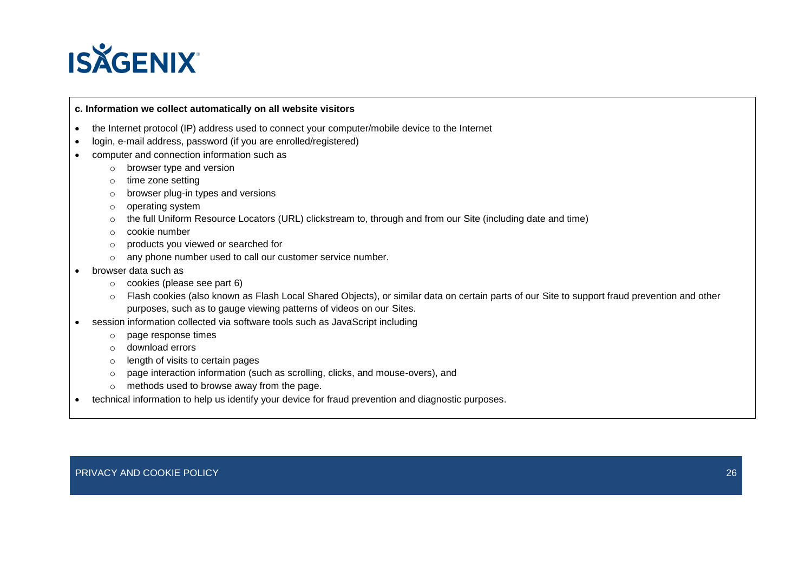

## **c. Information we collect automatically on all website visitors**

- the Internet protocol (IP) address used to connect your computer/mobile device to the Internet
- login, e-mail address, password (if you are enrolled/registered)
- computer and connection information such as
	- o browser type and version
	- o time zone setting
	- o browser plug-in types and versions
	- o operating system
	- o the full Uniform Resource Locators (URL) clickstream to, through and from our Site (including date and time)
	- o cookie number
	- o products you viewed or searched for
	- o any phone number used to call our customer service number.
- browser data such as
	- o cookies (please see part 6)
	- o Flash cookies (also known as Flash Local Shared Objects), or similar data on certain parts of our Site to support fraud prevention and other purposes, such as to gauge viewing patterns of videos on our Sites.
- session information collected via software tools such as JavaScript including
	- o page response times
	- o download errors
	- o length of visits to certain pages
	- o page interaction information (such as scrolling, clicks, and mouse-overs), and
	- o methods used to browse away from the page.
- technical information to help us identify your device for fraud prevention and diagnostic purposes.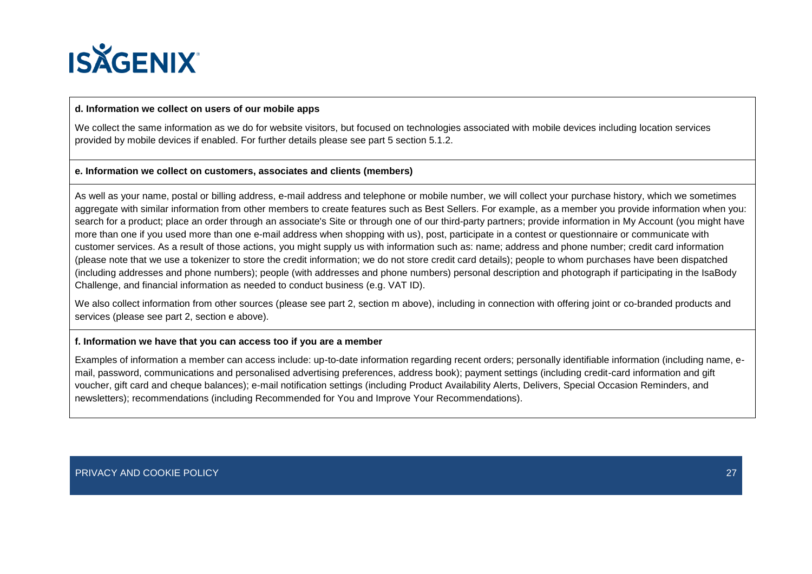

## **d. Information we collect on users of our mobile apps**

We collect the same information as we do for website visitors, but focused on technologies associated with mobile devices including location services provided by mobile devices if enabled. For further details please see part 5 section 5.1.2.

## **e. Information we collect on customers, associates and clients (members)**

As well as your name, postal or billing address, e-mail address and telephone or mobile number, we will collect your purchase history, which we sometimes aggregate with similar information from other members to create features such as Best Sellers. For example, as a member you provide information when you: search for a product; place an order through an associate's Site or through one of our third-party partners; provide information in My Account (you might have more than one if you used more than one e-mail address when shopping with us), post, participate in a contest or questionnaire or communicate with customer services. As a result of those actions, you might supply us with information such as: name; address and phone number; credit card information (please note that we use a tokenizer to store the credit information; we do not store credit card details); people to whom purchases have been dispatched (including addresses and phone numbers); people (with addresses and phone numbers) personal description and photograph if participating in the IsaBody Challenge, and financial information as needed to conduct business (e.g. VAT ID).

We also collect information from other sources (please see part 2, section m above), including in connection with offering joint or co-branded products and services (please see part 2, section e above).

#### **f. Information we have that you can access too if you are a member**

Examples of information a member can access include: up-to-date information regarding recent orders; personally identifiable information (including name, email, password, communications and personalised advertising preferences, address book); payment settings (including credit-card information and gift voucher, gift card and cheque balances); e-mail notification settings (including Product Availability Alerts, Delivers, Special Occasion Reminders, and newsletters); recommendations (including Recommended for You and Improve Your Recommendations).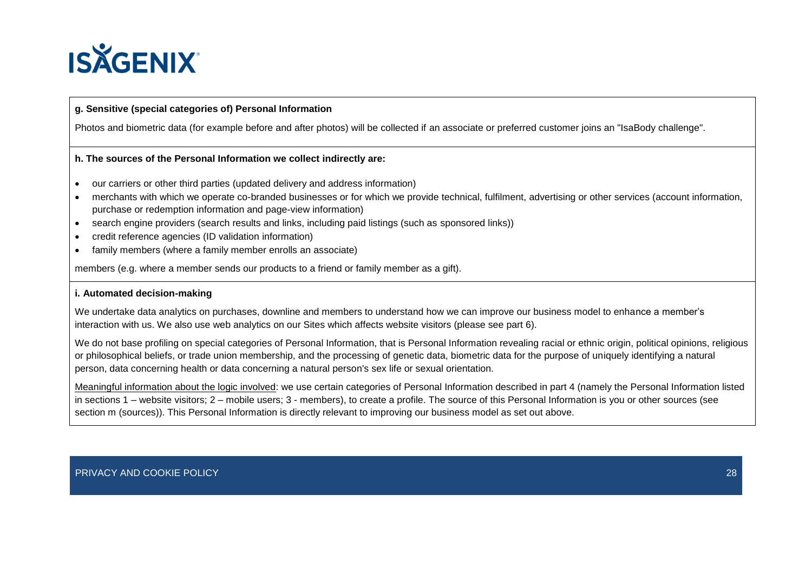

## **g. Sensitive (special categories of) Personal Information**

Photos and biometric data (for example before and after photos) will be collected if an associate or preferred customer joins an "IsaBody challenge".

## **h. The sources of the Personal Information we collect indirectly are:**

- our carriers or other third parties (updated delivery and address information)
- merchants with which we operate co-branded businesses or for which we provide technical, fulfilment, advertising or other services (account information, purchase or redemption information and page-view information)
- search engine providers (search results and links, including paid listings (such as sponsored links))
- credit reference agencies (ID validation information)
- family members (where a family member enrolls an associate)

members (e.g. where a member sends our products to a friend or family member as a gift).

## **i. Automated decision-making**

We undertake data analytics on purchases, downline and members to understand how we can improve our business model to enhance a member's interaction with us. We also use web analytics on our Sites which affects website visitors (please see part 6).

We do not base profiling on special categories of Personal Information, that is Personal Information revealing racial or ethnic origin, political opinions, religious or philosophical beliefs, or trade union membership, and the processing of genetic data, biometric data for the purpose of uniquely identifying a natural person, data concerning health or data concerning a natural person's sex life or sexual orientation.

Meaningful information about the logic involved: we use certain categories of Personal Information described in part 4 (namely the Personal Information listed in sections 1 – website visitors; 2 – mobile users; 3 - members), to create a profile. The source of this Personal Information is you or other sources (see section m (sources)). This Personal Information is directly relevant to improving our business model as set out above.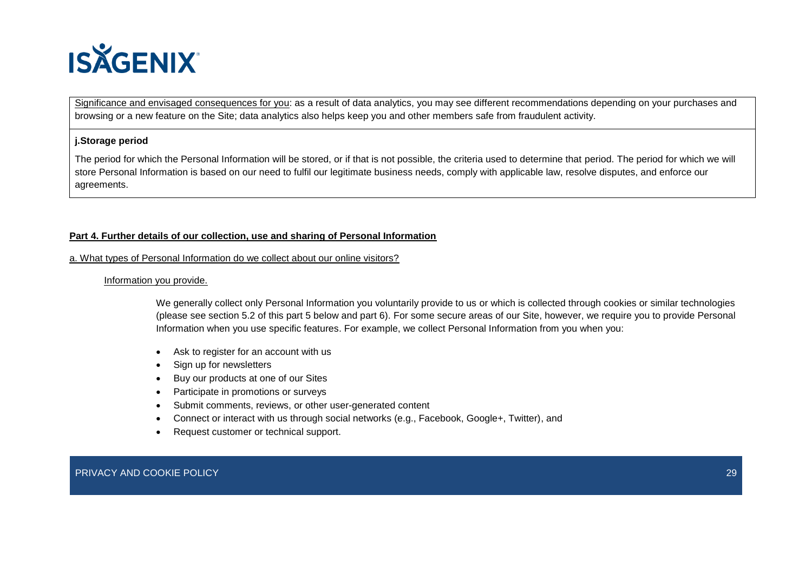

Significance and envisaged consequences for you: as a result of data analytics, you may see different recommendations depending on your purchases and browsing or a new feature on the Site; data analytics also helps keep you and other members safe from fraudulent activity.

### **j.Storage period**

The period for which the Personal Information will be stored, or if that is not possible, the criteria used to determine that period. The period for which we will store Personal Information is based on our need to fulfil our legitimate business needs, comply with applicable law, resolve disputes, and enforce our agreements.

## **Part 4. Further details of our collection, use and sharing of Personal Information**

#### a. What types of Personal Information do we collect about our online visitors?

#### Information you provide.

We generally collect only Personal Information you voluntarily provide to us or which is collected through cookies or similar technologies (please see section 5.2 of this part 5 below and part 6). For some secure areas of our Site, however, we require you to provide Personal Information when you use specific features. For example, we collect Personal Information from you when you:

- Ask to register for an account with us
- Sign up for newsletters
- Buy our products at one of our Sites
- Participate in promotions or surveys
- Submit comments, reviews, or other user-generated content
- Connect or interact with us through social networks (e.g., Facebook, Google+, Twitter), and
- Request customer or technical support.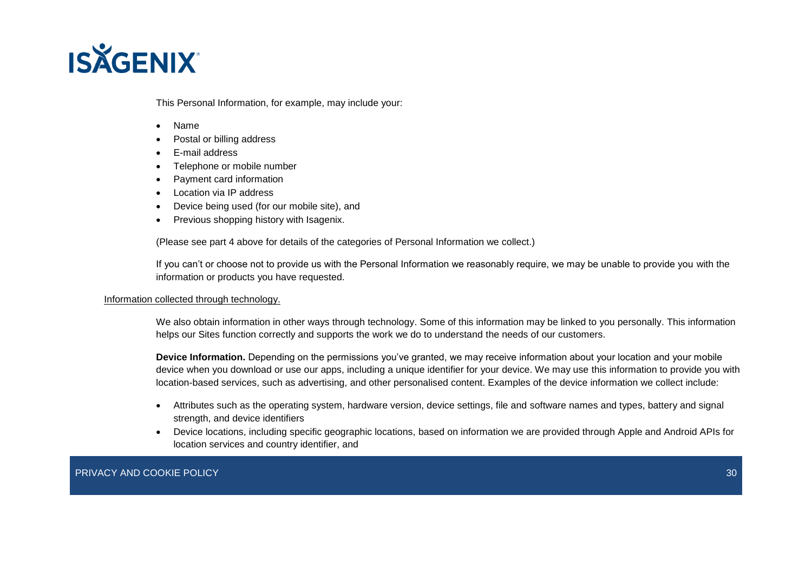

This Personal Information, for example, may include your:

- Name
- Postal or billing address
- E-mail address
- Telephone or mobile number
- Payment card information
- Location via IP address
- Device being used (for our mobile site), and
- Previous shopping history with Isagenix.

(Please see part 4 above for details of the categories of Personal Information we collect.)

If you can't or choose not to provide us with the Personal Information we reasonably require, we may be unable to provide you with the information or products you have requested.

#### Information collected through technology.

We also obtain information in other ways through technology. Some of this information may be linked to you personally. This information helps our Sites function correctly and supports the work we do to understand the needs of our customers.

**Device Information.** Depending on the permissions you've granted, we may receive information about your location and your mobile device when you download or use our apps, including a unique identifier for your device. We may use this information to provide you with location-based services, such as advertising, and other personalised content. Examples of the device information we collect include:

- Attributes such as the operating system, hardware version, device settings, file and software names and types, battery and signal strength, and device identifiers
- Device locations, including specific geographic locations, based on information we are provided through Apple and Android APIs for location services and country identifier, and

PRIVACY AND COOKIE POLICY AND ANNOUNCED AT A CONTROL CONTROL CONTROL CONTROL CONTROL CONTROL CONTROL CONTROL CO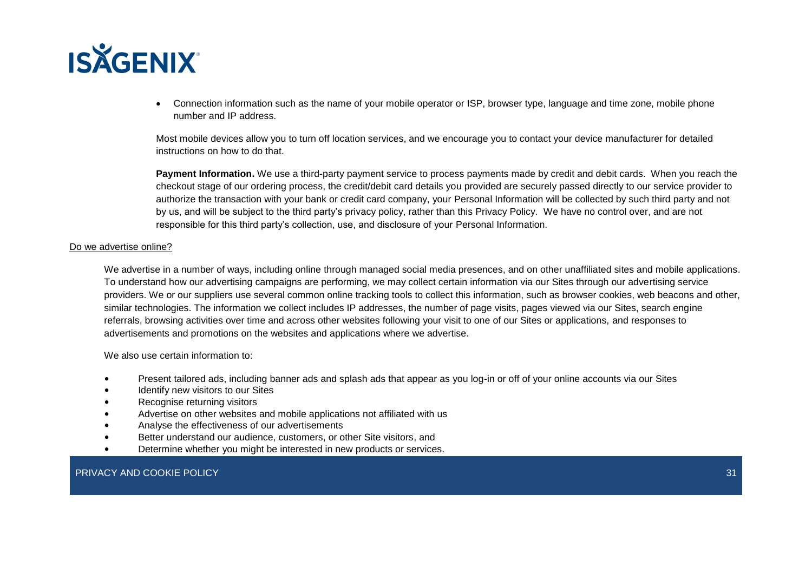

• Connection information such as the name of your mobile operator or ISP, browser type, language and time zone, mobile phone number and IP address.

Most mobile devices allow you to turn off location services, and we encourage you to contact your device manufacturer for detailed instructions on how to do that.

**Payment Information.** We use a third-party payment service to process payments made by credit and debit cards. When you reach the checkout stage of our ordering process, the credit/debit card details you provided are securely passed directly to our service provider to authorize the transaction with your bank or credit card company, your Personal Information will be collected by such third party and not by us, and will be subject to the third party's privacy policy, rather than this Privacy Policy. We have no control over, and are not responsible for this third party's collection, use, and disclosure of your Personal Information.

#### Do we advertise online?

We advertise in a number of ways, including online through managed social media presences, and on other unaffiliated sites and mobile applications. To understand how our advertising campaigns are performing, we may collect certain information via our Sites through our advertising service providers. We or our suppliers use several common online tracking tools to collect this information, such as browser cookies, web beacons and other, similar technologies. The information we collect includes IP addresses, the number of page visits, pages viewed via our Sites, search engine referrals, browsing activities over time and across other websites following your visit to one of our Sites or applications, and responses to advertisements and promotions on the websites and applications where we advertise.

We also use certain information to:

- Present tailored ads, including banner ads and splash ads that appear as you log-in or off of your online accounts via our Sites
- Identify new visitors to our Sites
- Recognise returning visitors
- Advertise on other websites and mobile applications not affiliated with us
- Analyse the effectiveness of our advertisements
- Better understand our audience, customers, or other Site visitors, and
- Determine whether you might be interested in new products or services.

## PRIVACY AND COOKIE POLICY **31 AND 2008** 12 AND 2008 12 AND 2012 12:00 2012 12:00 2013 12:00 2014 12:00 2014 12:00 31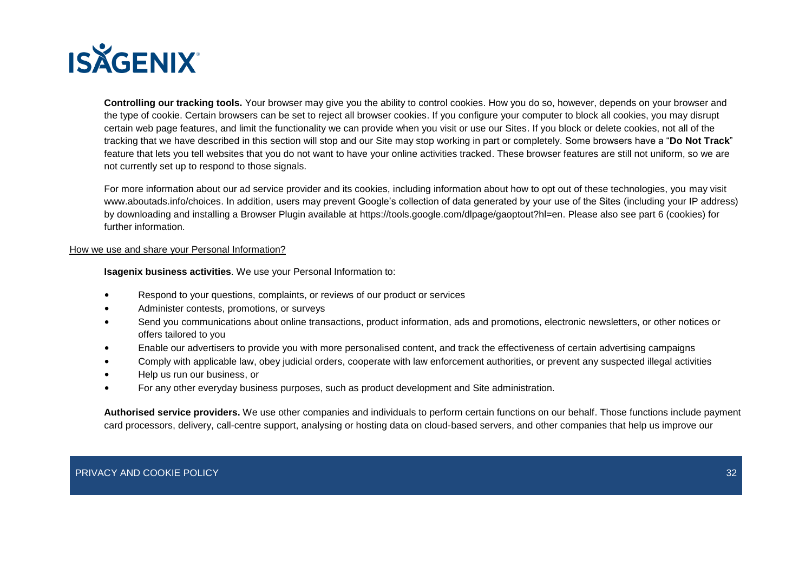

**Controlling our tracking tools.** Your browser may give you the ability to control cookies. How you do so, however, depends on your browser and the type of cookie. Certain browsers can be set to reject all browser cookies. If you configure your computer to block all cookies, you may disrupt certain web page features, and limit the functionality we can provide when you visit or use our Sites. If you block or delete cookies, not all of the tracking that we have described in this section will stop and our Site may stop working in part or completely. Some browsers have a "**Do Not Track**" feature that lets you tell websites that you do not want to have your online activities tracked. These browser features are still not uniform, so we are not currently set up to respond to those signals.

For more information about our ad service provider and its cookies, including information about how to opt out of these technologies, you may visit www.aboutads.info/choices. In addition, users may prevent Google's collection of data generated by your use of the Sites (including your IP address) by downloading and installing a Browser Plugin available at https://tools.google.com/dlpage/gaoptout?hl=en. Please also see part 6 (cookies) for further information.

### How we use and share your Personal Information?

**Isagenix business activities**. We use your Personal Information to:

- Respond to your questions, complaints, or reviews of our product or services
- Administer contests, promotions, or surveys
- Send you communications about online transactions, product information, ads and promotions, electronic newsletters, or other notices or offers tailored to you
- Enable our advertisers to provide you with more personalised content, and track the effectiveness of certain advertising campaigns
- Comply with applicable law, obey judicial orders, cooperate with law enforcement authorities, or prevent any suspected illegal activities
- Help us run our business, or
- For any other everyday business purposes, such as product development and Site administration.

**Authorised service providers.** We use other companies and individuals to perform certain functions on our behalf. Those functions include payment card processors, delivery, call-centre support, analysing or hosting data on cloud-based servers, and other companies that help us improve our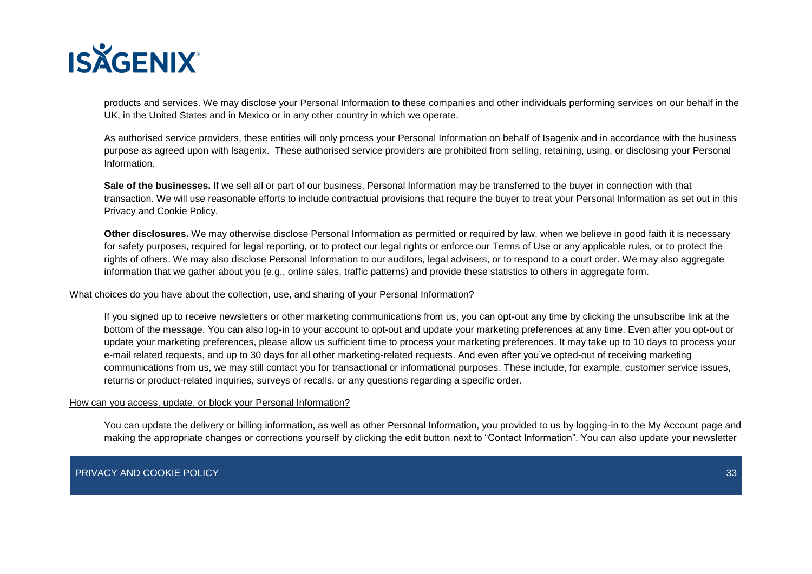

products and services. We may disclose your Personal Information to these companies and other individuals performing services on our behalf in the UK, in the United States and in Mexico or in any other country in which we operate.

As authorised service providers, these entities will only process your Personal Information on behalf of Isagenix and in accordance with the business purpose as agreed upon with Isagenix. These authorised service providers are prohibited from selling, retaining, using, or disclosing your Personal Information.

**Sale of the businesses.** If we sell all or part of our business, Personal Information may be transferred to the buyer in connection with that transaction. We will use reasonable efforts to include contractual provisions that require the buyer to treat your Personal Information as set out in this Privacy and Cookie Policy.

**Other disclosures.** We may otherwise disclose Personal Information as permitted or required by law, when we believe in good faith it is necessary for safety purposes, required for legal reporting, or to protect our legal rights or enforce our Terms of Use or any applicable rules, or to protect the rights of others. We may also disclose Personal Information to our auditors, legal advisers, or to respond to a court order. We may also aggregate information that we gather about you (e.g., online sales, traffic patterns) and provide these statistics to others in aggregate form.

#### What choices do you have about the collection, use, and sharing of your Personal Information?

If you signed up to receive newsletters or other marketing communications from us, you can opt-out any time by clicking the unsubscribe link at the bottom of the message. You can also log-in to your account to opt-out and update your marketing preferences at any time. Even after you opt-out or update your marketing preferences, please allow us sufficient time to process your marketing preferences. It may take up to 10 days to process your e-mail related requests, and up to 30 days for all other marketing-related requests. And even after you've opted-out of receiving marketing communications from us, we may still contact you for transactional or informational purposes. These include, for example, customer service issues, returns or product-related inquiries, surveys or recalls, or any questions regarding a specific order.

#### How can you access, update, or block your Personal Information?

You can update the delivery or billing information, as well as other Personal Information, you provided to us by logging-in to the My Account page and making the appropriate changes or corrections yourself by clicking the edit button next to "Contact Information". You can also update your newsletter

## PRIVACY AND COOKIE POLICY AND ANNOUNCED AT A CONTROL CONTROL CONTROL CONTROL CONTROL CONTROL CONTROL CONTROL CO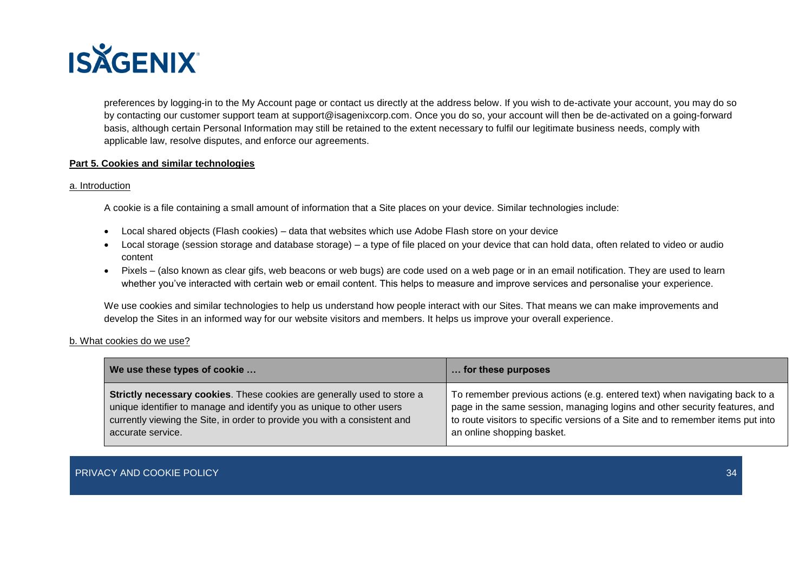

preferences by logging-in to the My Account page or contact us directly at the address below. If you wish to de-activate your account, you may do so by contacting our customer support team at support@isagenixcorp.com. Once you do so, your account will then be de-activated on a going-forward basis, although certain Personal Information may still be retained to the extent necessary to fulfil our legitimate business needs, comply with applicable law, resolve disputes, and enforce our agreements.

## **Part 5. Cookies and similar technologies**

#### a. Introduction

A cookie is a file containing a small amount of information that a Site places on your device. Similar technologies include:

- Local shared objects (Flash cookies) data that websites which use Adobe Flash store on your device
- Local storage (session storage and database storage) a type of file placed on your device that can hold data, often related to video or audio content
- Pixels (also known as clear gifs, web beacons or web bugs) are code used on a web page or in an email notification. They are used to learn whether you've interacted with certain web or email content. This helps to measure and improve services and personalise your experience.

We use cookies and similar technologies to help us understand how people interact with our Sites. That means we can make improvements and develop the Sites in an informed way for our website visitors and members. It helps us improve your overall experience.

## b. What cookies do we use?

| We use these types of cookie                                                   | for these purposes                                                              |
|--------------------------------------------------------------------------------|---------------------------------------------------------------------------------|
| <b>Strictly necessary cookies.</b> These cookies are generally used to store a | To remember previous actions (e.g. entered text) when navigating back to a      |
| unique identifier to manage and identify you as unique to other users          | page in the same session, managing logins and other security features, and      |
| currently viewing the Site, in order to provide you with a consistent and      | to route visitors to specific versions of a Site and to remember items put into |
| accurate service.                                                              | an online shopping basket.                                                      |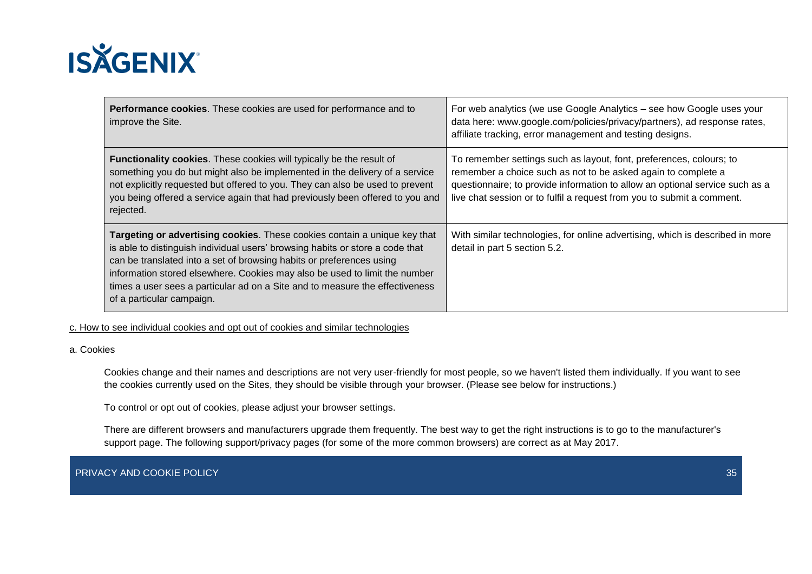

| Performance cookies. These cookies are used for performance and to<br>improve the Site.                                                                                                                                                                                                                                                                                                                                       | For web analytics (we use Google Analytics – see how Google uses your<br>data here: www.google.com/policies/privacy/partners), ad response rates,<br>affiliate tracking, error management and testing designs.                                                                                 |
|-------------------------------------------------------------------------------------------------------------------------------------------------------------------------------------------------------------------------------------------------------------------------------------------------------------------------------------------------------------------------------------------------------------------------------|------------------------------------------------------------------------------------------------------------------------------------------------------------------------------------------------------------------------------------------------------------------------------------------------|
| <b>Functionality cookies.</b> These cookies will typically be the result of<br>something you do but might also be implemented in the delivery of a service<br>not explicitly requested but offered to you. They can also be used to prevent<br>you being offered a service again that had previously been offered to you and<br>rejected.                                                                                     | To remember settings such as layout, font, preferences, colours; to<br>remember a choice such as not to be asked again to complete a<br>questionnaire; to provide information to allow an optional service such as a<br>live chat session or to fulfil a request from you to submit a comment. |
| Targeting or advertising cookies. These cookies contain a unique key that<br>is able to distinguish individual users' browsing habits or store a code that<br>can be translated into a set of browsing habits or preferences using<br>information stored elsewhere. Cookies may also be used to limit the number<br>times a user sees a particular ad on a Site and to measure the effectiveness<br>of a particular campaign. | With similar technologies, for online advertising, which is described in more<br>detail in part 5 section 5.2.                                                                                                                                                                                 |

c. How to see individual cookies and opt out of cookies and similar technologies

## a. Cookies

Cookies change and their names and descriptions are not very user-friendly for most people, so we haven't listed them individually. If you want to see the cookies currently used on the Sites, they should be visible through your browser. (Please see below for instructions.)

To control or opt out of cookies, please adjust your browser settings.

There are different browsers and manufacturers upgrade them frequently. The best way to get the right instructions is to go to the manufacturer's support page. The following support/privacy pages (for some of the more common browsers) are correct as at May 2017.

PRIVACY AND COOKIE POLICY AND SERVED ON A SERVED ON A SERVED ON A SERVED ON A SERVED ON A SERVED ON A SERVED ON A SERVED ON A SERVED ON A SERVED ON A SERVED ON A SERVED ON A SERVED ON A SERVED ON A SERVED ON A SERVED ON A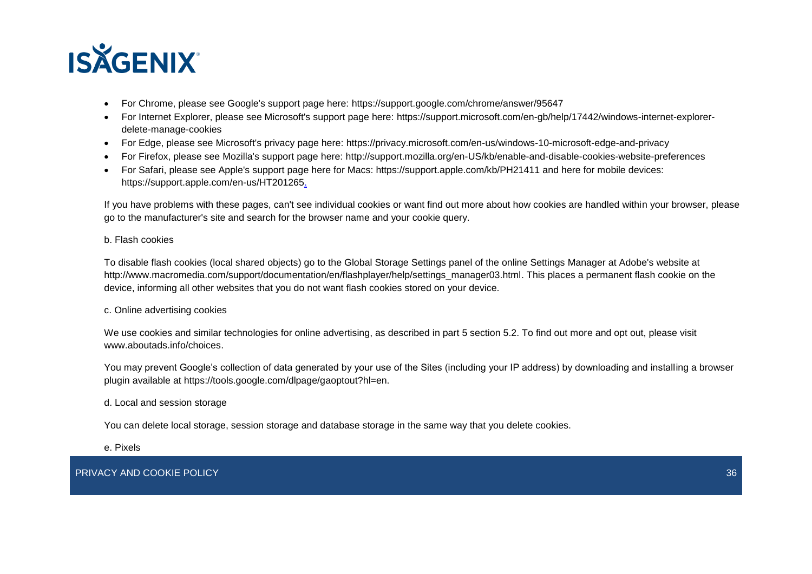

- For Chrome, please see Google's support page here: https://support.google.com/chrome/answer/95647
- For Internet Explorer, please see Microsoft's support page here: https://support.microsoft.com/en-gb/help/17442/windows-internet-explorerdelete-manage-cookies
- For Edge, please see Microsoft's privacy page here: https://privacy.microsoft.com/en-us/windows-10-microsoft-edge-and-privacy
- For Firefox, please see Mozilla's support page here: http://support.mozilla.org/en-US/kb/enable-and-disable-cookies-website-preferences
- For Safari, please see Apple's support page here for Macs: https://support.apple.com/kb/PH21411 and here for mobile devices: https://support.apple.com/en-us/HT201265.

If you have problems with these pages, can't see individual cookies or want find out more about how cookies are handled within your browser, please go to the manufacturer's site and search for the browser name and your cookie query.

## b. Flash cookies

To disable flash cookies (local shared objects) go to the Global Storage Settings panel of the online Settings Manager at Adobe's website at http://www.macromedia.com/support/documentation/en/flashplayer/help/settings\_manager03.html. This places a permanent flash cookie on the device, informing all other websites that you do not want flash cookies stored on your device.

## c. Online advertising cookies

We use cookies and similar technologies for online advertising, as described in part 5 section 5.2. To find out more and opt out, please visit www.aboutads.info/choices.

You may prevent Google's collection of data generated by your use of the Sites (including your IP address) by downloading and installing a browser plugin available at https://tools.google.com/dlpage/gaoptout?hl=en.

d. Local and session storage

You can delete local storage, session storage and database storage in the same way that you delete cookies.

e. Pixels

PRIVACY AND COOKIE POLICY AND ANNOUNCED AT A CONTROL CONTROL CONTROL CONTROL CONTROL CONTROL CONTROL CONTROL CO